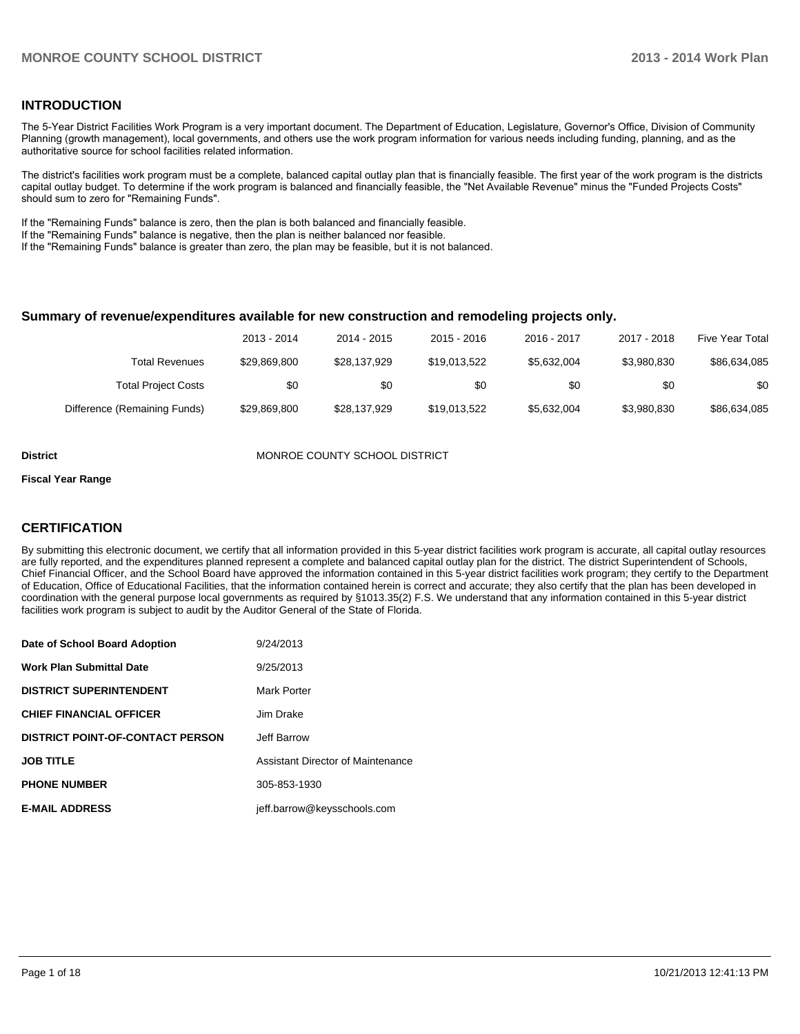#### **INTRODUCTION**

The 5-Year District Facilities Work Program is a very important document. The Department of Education, Legislature, Governor's Office, Division of Community Planning (growth management), local governments, and others use the work program information for various needs including funding, planning, and as the authoritative source for school facilities related information.

The district's facilities work program must be a complete, balanced capital outlay plan that is financially feasible. The first year of the work program is the districts capital outlay budget. To determine if the work program is balanced and financially feasible, the "Net Available Revenue" minus the "Funded Projects Costs" should sum to zero for "Remaining Funds".

If the "Remaining Funds" balance is zero, then the plan is both balanced and financially feasible.

If the "Remaining Funds" balance is negative, then the plan is neither balanced nor feasible.

If the "Remaining Funds" balance is greater than zero, the plan may be feasible, but it is not balanced.

#### **Summary of revenue/expenditures available for new construction and remodeling projects only.**

| Five Year Total | 2017 - 2018 | 2016 - 2017 | $2015 - 2016$ | 2014 - 2015  | 2013 - 2014  |                              |
|-----------------|-------------|-------------|---------------|--------------|--------------|------------------------------|
| \$86,634,085    | \$3.980.830 | \$5.632.004 | \$19,013,522  | \$28.137.929 | \$29,869,800 | Total Revenues               |
| \$0             | \$0         | \$0         | \$0           | \$0          | \$0          | <b>Total Project Costs</b>   |
| \$86,634,085    | \$3,980,830 | \$5.632.004 | \$19,013,522  | \$28.137.929 | \$29,869,800 | Difference (Remaining Funds) |

**District MONROE COUNTY SCHOOL DISTRICT** 

#### **Fiscal Year Range**

#### **CERTIFICATION**

By submitting this electronic document, we certify that all information provided in this 5-year district facilities work program is accurate, all capital outlay resources are fully reported, and the expenditures planned represent a complete and balanced capital outlay plan for the district. The district Superintendent of Schools, Chief Financial Officer, and the School Board have approved the information contained in this 5-year district facilities work program; they certify to the Department of Education, Office of Educational Facilities, that the information contained herein is correct and accurate; they also certify that the plan has been developed in coordination with the general purpose local governments as required by §1013.35(2) F.S. We understand that any information contained in this 5-year district facilities work program is subject to audit by the Auditor General of the State of Florida.

| Date of School Board Adoption           | 9/24/2013                         |
|-----------------------------------------|-----------------------------------|
| <b>Work Plan Submittal Date</b>         | 9/25/2013                         |
| <b>DISTRICT SUPERINTENDENT</b>          | Mark Porter                       |
| <b>CHIEF FINANCIAL OFFICER</b>          | Jim Drake                         |
| <b>DISTRICT POINT-OF-CONTACT PERSON</b> | Jeff Barrow                       |
| <b>JOB TITLE</b>                        | Assistant Director of Maintenance |
| <b>PHONE NUMBER</b>                     | 305-853-1930                      |
| <b>E-MAIL ADDRESS</b>                   | jeff.barrow@keysschools.com       |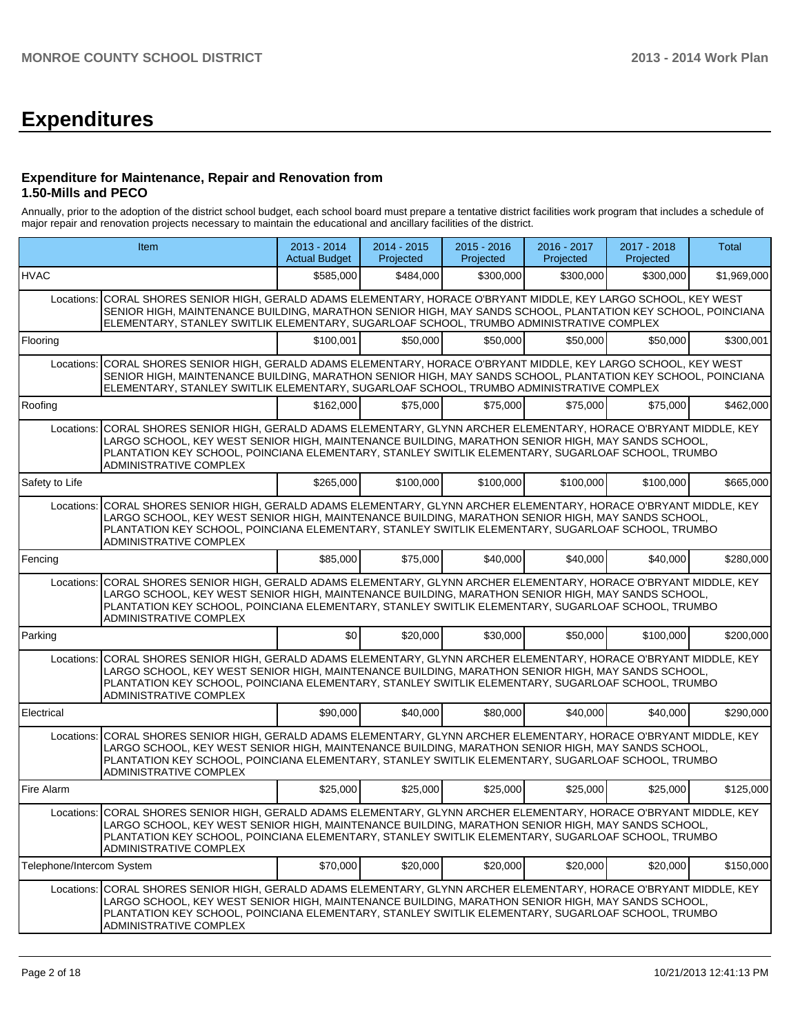## **Expenditures**

#### **Expenditure for Maintenance, Repair and Renovation from 1.50-Mills and PECO**

Annually, prior to the adoption of the district school budget, each school board must prepare a tentative district facilities work program that includes a schedule of major repair and renovation projects necessary to maintain the educational and ancillary facilities of the district.

|                                                                                                                                                                                                                                                                                                                                                               | Item                                                                                                                                                                                                                                                                                                                                                          | 2013 - 2014<br><b>Actual Budget</b> | 2014 - 2015<br>Projected | 2015 - 2016<br>Projected | 2016 - 2017<br>Projected | 2017 - 2018<br>Projected | Total       |  |  |  |
|---------------------------------------------------------------------------------------------------------------------------------------------------------------------------------------------------------------------------------------------------------------------------------------------------------------------------------------------------------------|---------------------------------------------------------------------------------------------------------------------------------------------------------------------------------------------------------------------------------------------------------------------------------------------------------------------------------------------------------------|-------------------------------------|--------------------------|--------------------------|--------------------------|--------------------------|-------------|--|--|--|
| <b>HVAC</b>                                                                                                                                                                                                                                                                                                                                                   |                                                                                                                                                                                                                                                                                                                                                               | \$585,000                           | \$484,000                | \$300,000                | \$300,000                | \$300,000                | \$1,969,000 |  |  |  |
| Locations:                                                                                                                                                                                                                                                                                                                                                    | CORAL SHORES SENIOR HIGH, GERALD ADAMS ELEMENTARY, HORACE O'BRYANT MIDDLE, KEY LARGO SCHOOL, KEY WEST<br>SENIOR HIGH, MAINTENANCE BUILDING, MARATHON SENIOR HIGH, MAY SANDS SCHOOL, PLANTATION KEY SCHOOL, POINCIANA<br>ELEMENTARY, STANLEY SWITLIK ELEMENTARY, SUGARLOAF SCHOOL, TRUMBO ADMINISTRATIVE COMPLEX                                               |                                     |                          |                          |                          |                          |             |  |  |  |
| Flooring                                                                                                                                                                                                                                                                                                                                                      |                                                                                                                                                                                                                                                                                                                                                               | \$100.001                           | \$50,000                 | \$50,000                 | \$50,000                 | \$50,000                 | \$300,001   |  |  |  |
|                                                                                                                                                                                                                                                                                                                                                               | Locations: CORAL SHORES SENIOR HIGH, GERALD ADAMS ELEMENTARY, HORACE O'BRYANT MIDDLE, KEY LARGO SCHOOL, KEY WEST<br>SENIOR HIGH, MAINTENANCE BUILDING, MARATHON SENIOR HIGH, MAY SANDS SCHOOL, PLANTATION KEY SCHOOL, POINCIANA<br>ELEMENTARY, STANLEY SWITLIK ELEMENTARY, SUGARLOAF SCHOOL, TRUMBO ADMINISTRATIVE COMPLEX                                    |                                     |                          |                          |                          |                          |             |  |  |  |
| Roofing                                                                                                                                                                                                                                                                                                                                                       |                                                                                                                                                                                                                                                                                                                                                               | \$162,000                           | \$75,000                 | \$75,000                 | \$75,000                 | \$75,000                 | \$462,000   |  |  |  |
| Locations: CORAL SHORES SENIOR HIGH, GERALD ADAMS ELEMENTARY, GLYNN ARCHER ELEMENTARY, HORACE O'BRYANT MIDDLE, KEY<br>LARGO SCHOOL, KEY WEST SENIOR HIGH, MAINTENANCE BUILDING, MARATHON SENIOR HIGH, MAY SANDS SCHOOL,<br>PLANTATION KEY SCHOOL, POINCIANA ELEMENTARY, STANLEY SWITLIK ELEMENTARY, SUGARLOAF SCHOOL, TRUMBO<br><b>ADMINISTRATIVE COMPLEX</b> |                                                                                                                                                                                                                                                                                                                                                               |                                     |                          |                          |                          |                          |             |  |  |  |
| Safety to Life                                                                                                                                                                                                                                                                                                                                                |                                                                                                                                                                                                                                                                                                                                                               | \$265,000                           | \$100,000                | \$100,000                | \$100,000                | \$100,000                | \$665,000   |  |  |  |
| Locations: CORAL SHORES SENIOR HIGH, GERALD ADAMS ELEMENTARY, GLYNN ARCHER ELEMENTARY, HORACE O'BRYANT MIDDLE, KEY<br>LARGO SCHOOL, KEY WEST SENIOR HIGH, MAINTENANCE BUILDING, MARATHON SENIOR HIGH, MAY SANDS SCHOOL,<br>PLANTATION KEY SCHOOL, POINCIANA ELEMENTARY, STANLEY SWITLIK ELEMENTARY, SUGARLOAF SCHOOL, TRUMBO<br><b>ADMINISTRATIVE COMPLEX</b> |                                                                                                                                                                                                                                                                                                                                                               |                                     |                          |                          |                          |                          |             |  |  |  |
| Fencing                                                                                                                                                                                                                                                                                                                                                       |                                                                                                                                                                                                                                                                                                                                                               | \$85,000                            | \$75,000                 | \$40,000                 | \$40,000                 | \$40,000                 | \$280,000   |  |  |  |
| CORAL SHORES SENIOR HIGH, GERALD ADAMS ELEMENTARY, GLYNN ARCHER ELEMENTARY, HORACE O'BRYANT MIDDLE, KEY<br>Locations:<br>LARGO SCHOOL, KEY WEST SENIOR HIGH, MAINTENANCE BUILDING, MARATHON SENIOR HIGH, MAY SANDS SCHOOL,<br>PLANTATION KEY SCHOOL, POINCIANA ELEMENTARY, STANLEY SWITLIK ELEMENTARY, SUGARLOAF SCHOOL, TRUMBO<br>ADMINISTRATIVE COMPLEX     |                                                                                                                                                                                                                                                                                                                                                               |                                     |                          |                          |                          |                          |             |  |  |  |
| Parking                                                                                                                                                                                                                                                                                                                                                       |                                                                                                                                                                                                                                                                                                                                                               | \$0 <sub>1</sub>                    | \$20,000                 | \$30,000                 | \$50,000                 | \$100,000                | \$200,000   |  |  |  |
| Locations:                                                                                                                                                                                                                                                                                                                                                    | CORAL SHORES SENIOR HIGH, GERALD ADAMS ELEMENTARY, GLYNN ARCHER ELEMENTARY, HORACE O'BRYANT MIDDLE, KEY<br>LARGO SCHOOL, KEY WEST SENIOR HIGH, MAINTENANCE BUILDING, MARATHON SENIOR HIGH, MAY SANDS SCHOOL,<br>PLANTATION KEY SCHOOL, POINCIANA ELEMENTARY, STANLEY SWITLIK ELEMENTARY, SUGARLOAF SCHOOL, TRUMBO<br>ADMINISTRATIVE COMPLEX                   |                                     |                          |                          |                          |                          |             |  |  |  |
| Electrical                                                                                                                                                                                                                                                                                                                                                    |                                                                                                                                                                                                                                                                                                                                                               | \$90,000                            | \$40,000                 | \$80,000                 | \$40,000                 | \$40,000                 | \$290,000   |  |  |  |
| Locations:                                                                                                                                                                                                                                                                                                                                                    | CORAL SHORES SENIOR HIGH, GERALD ADAMS ELEMENTARY, GLYNN ARCHER ELEMENTARY, HORACE O'BRYANT MIDDLE, KEY<br>LARGO SCHOOL, KEY WEST SENIOR HIGH, MAINTENANCE BUILDING, MARATHON SENIOR HIGH, MAY SANDS SCHOOL,<br>PLANTATION KEY SCHOOL, POINCIANA ELEMENTARY, STANLEY SWITLIK ELEMENTARY, SUGARLOAF SCHOOL, TRUMBO<br>ADMINISTRATIVE COMPLEX                   |                                     |                          |                          |                          |                          |             |  |  |  |
| Fire Alarm                                                                                                                                                                                                                                                                                                                                                    |                                                                                                                                                                                                                                                                                                                                                               | \$25,000                            | \$25,000                 | \$25,000                 | \$25,000                 | \$25,000                 | \$125,000   |  |  |  |
|                                                                                                                                                                                                                                                                                                                                                               | Locations: CORAL SHORES SENIOR HIGH, GERALD ADAMS ELEMENTARY, GLYNN ARCHER ELEMENTARY, HORACE O'BRYANT MIDDLE, KEY<br>LARGO SCHOOL, KEY WEST SENIOR HIGH, MAINTENANCE BUILDING, MARATHON SENIOR HIGH, MAY SANDS SCHOOL<br>PLANTATION KEY SCHOOL, POINCIANA ELEMENTARY, STANLEY SWITLIK ELEMENTARY, SUGARLOAF SCHOOL, TRUMBO<br>ADMINISTRATIVE COMPLEX         |                                     |                          |                          |                          |                          |             |  |  |  |
| Telephone/Intercom System                                                                                                                                                                                                                                                                                                                                     |                                                                                                                                                                                                                                                                                                                                                               | \$70,000                            | \$20,000                 | \$20,000                 | \$20,000                 | \$20,000                 | \$150,000   |  |  |  |
|                                                                                                                                                                                                                                                                                                                                                               | Locations: CORAL SHORES SENIOR HIGH, GERALD ADAMS ELEMENTARY, GLYNN ARCHER ELEMENTARY, HORACE O'BRYANT MIDDLE, KEY<br>LARGO SCHOOL, KEY WEST SENIOR HIGH, MAINTENANCE BUILDING, MARATHON SENIOR HIGH, MAY SANDS SCHOOL,<br>PLANTATION KEY SCHOOL, POINCIANA ELEMENTARY, STANLEY SWITLIK ELEMENTARY, SUGARLOAF SCHOOL, TRUMBO<br><b>ADMINISTRATIVE COMPLEX</b> |                                     |                          |                          |                          |                          |             |  |  |  |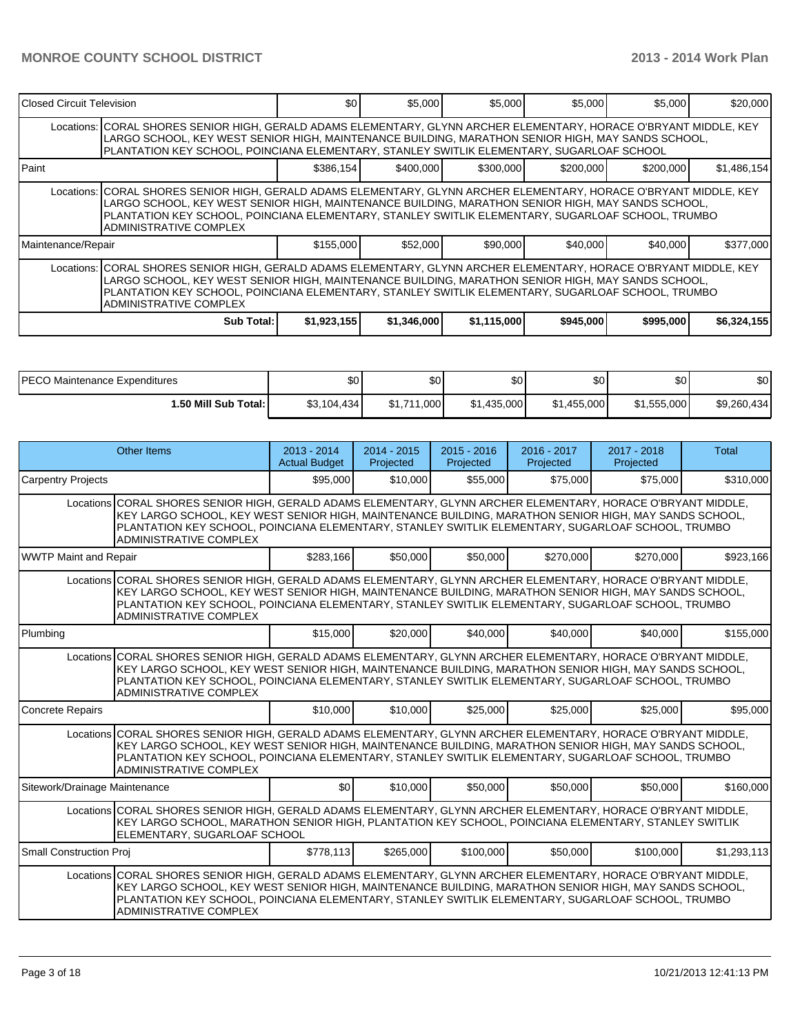| Closed Circuit Television                                                                                                                                                                                                                                                                                                                                       |                                                                                                                                                                                                                                                                                                                                                               | \$0         | \$5,000     | \$5,000     | \$5,000   | \$5,000   | \$20,000    |  |  |  |  |
|-----------------------------------------------------------------------------------------------------------------------------------------------------------------------------------------------------------------------------------------------------------------------------------------------------------------------------------------------------------------|---------------------------------------------------------------------------------------------------------------------------------------------------------------------------------------------------------------------------------------------------------------------------------------------------------------------------------------------------------------|-------------|-------------|-------------|-----------|-----------|-------------|--|--|--|--|
|                                                                                                                                                                                                                                                                                                                                                                 | Locations: CORAL SHORES SENIOR HIGH, GERALD ADAMS ELEMENTARY, GLYNN ARCHER ELEMENTARY, HORACE O'BRYANT MIDDLE, KEY<br>LARGO SCHOOL, KEY WEST SENIOR HIGH, MAINTENANCE BUILDING, MARATHON SENIOR HIGH, MAY SANDS SCHOOL,<br>PLANTATION KEY SCHOOL, POINCIANA ELEMENTARY, STANLEY SWITLIK ELEMENTARY, SUGARLOAF SCHOOL                                          |             |             |             |           |           |             |  |  |  |  |
| Paint                                                                                                                                                                                                                                                                                                                                                           | \$386.154<br>\$400,000<br>\$300,000<br>\$200,000<br>\$200,000                                                                                                                                                                                                                                                                                                 |             |             |             |           |           | \$1,486,154 |  |  |  |  |
|                                                                                                                                                                                                                                                                                                                                                                 | Locations: CORAL SHORES SENIOR HIGH, GERALD ADAMS ELEMENTARY, GLYNN ARCHER ELEMENTARY, HORACE O'BRYANT MIDDLE, KEY<br>LARGO SCHOOL, KEY WEST SENIOR HIGH, MAINTENANCE BUILDING, MARATHON SENIOR HIGH, MAY SANDS SCHOOL,<br>PLANTATION KEY SCHOOL, POINCIANA ELEMENTARY, STANLEY SWITLIK ELEMENTARY, SUGARLOAF SCHOOL, TRUMBO<br><b>ADMINISTRATIVE COMPLEX</b> |             |             |             |           |           |             |  |  |  |  |
| Maintenance/Repair                                                                                                                                                                                                                                                                                                                                              |                                                                                                                                                                                                                                                                                                                                                               | \$155,000   | \$52,000    | \$90,000    | \$40,000  | \$40,000  | \$377,000   |  |  |  |  |
| Locations:   CORAL SHORES SENIOR HIGH, GERALD ADAMS ELEMENTARY, GLYNN ARCHER ELEMENTARY, HORACE O'BRYANT MIDDLE, KEY<br>LARGO SCHOOL, KEY WEST SENIOR HIGH, MAINTENANCE BUILDING, MARATHON SENIOR HIGH, MAY SANDS SCHOOL,<br>PLANTATION KEY SCHOOL, POINCIANA ELEMENTARY, STANLEY SWITLIK ELEMENTARY, SUGARLOAF SCHOOL, TRUMBO<br><b>ADMINISTRATIVE COMPLEX</b> |                                                                                                                                                                                                                                                                                                                                                               |             |             |             |           |           |             |  |  |  |  |
|                                                                                                                                                                                                                                                                                                                                                                 | Sub Total:                                                                                                                                                                                                                                                                                                                                                    | \$1,923,155 | \$1,346,000 | \$1,115,000 | \$945,000 | \$995,000 | \$6,324,155 |  |  |  |  |

| IPECO Maintenance Expenditures | <b>\$0</b>   | \$0            | \$0 <sub>1</sub> | $\sim$<br>Ψ | \$0         | \$0         |
|--------------------------------|--------------|----------------|------------------|-------------|-------------|-------------|
| I.50 Mill Sub Total: I         | \$3,104,434] | 000,<br>0.4744 | \$1,435,000      | \$1,455,000 | \$1,555,000 | \$9,260,434 |

|                               | Other Items                                                                                                                                                                                                                                                                                                                                           | $2013 - 2014$<br><b>Actual Budget</b> | $2014 - 2015$<br>Projected | $2015 - 2016$<br>Projected | $2016 - 2017$<br>Projected | 2017 - 2018<br>Projected | Total       |  |
|-------------------------------|-------------------------------------------------------------------------------------------------------------------------------------------------------------------------------------------------------------------------------------------------------------------------------------------------------------------------------------------------------|---------------------------------------|----------------------------|----------------------------|----------------------------|--------------------------|-------------|--|
| <b>Carpentry Projects</b>     |                                                                                                                                                                                                                                                                                                                                                       | \$95,000                              | \$10,000                   | \$55,000                   | \$75,000                   | \$75,000                 | \$310,000   |  |
|                               | Locations CORAL SHORES SENIOR HIGH, GERALD ADAMS ELEMENTARY, GLYNN ARCHER ELEMENTARY, HORACE O'BRYANT MIDDLE,<br>KEY LARGO SCHOOL, KEY WEST SENIOR HIGH, MAINTENANCE BUILDING, MARATHON SENIOR HIGH, MAY SANDS SCHOOL,<br>PLANTATION KEY SCHOOL, POINCIANA ELEMENTARY, STANLEY SWITLIK ELEMENTARY, SUGARLOAF SCHOOL, TRUMBO<br>ADMINISTRATIVE COMPLEX |                                       |                            |                            |                            |                          |             |  |
| WWTP Maint and Repair         |                                                                                                                                                                                                                                                                                                                                                       | \$283.166                             | \$50,000                   | \$50,000                   | \$270,000                  | \$270,000                | \$923,166   |  |
|                               | Locations CORAL SHORES SENIOR HIGH, GERALD ADAMS ELEMENTARY, GLYNN ARCHER ELEMENTARY, HORACE O'BRYANT MIDDLE,<br>KEY LARGO SCHOOL, KEY WEST SENIOR HIGH, MAINTENANCE BUILDING, MARATHON SENIOR HIGH, MAY SANDS SCHOOL,<br>PLANTATION KEY SCHOOL, POINCIANA ELEMENTARY, STANLEY SWITLIK ELEMENTARY, SUGARLOAF SCHOOL, TRUMBO<br>ADMINISTRATIVE COMPLEX |                                       |                            |                            |                            |                          |             |  |
| Plumbing                      |                                                                                                                                                                                                                                                                                                                                                       | \$15,000                              | \$20,000                   | \$40,000                   | \$40,000                   | \$40,000                 | \$155,000   |  |
|                               | Locations CORAL SHORES SENIOR HIGH, GERALD ADAMS ELEMENTARY, GLYNN ARCHER ELEMENTARY, HORACE O'BRYANT MIDDLE,<br>KEY LARGO SCHOOL, KEY WEST SENIOR HIGH, MAINTENANCE BUILDING, MARATHON SENIOR HIGH, MAY SANDS SCHOOL,<br>PLANTATION KEY SCHOOL, POINCIANA ELEMENTARY, STANLEY SWITLIK ELEMENTARY, SUGARLOAF SCHOOL, TRUMBO<br>ADMINISTRATIVE COMPLEX |                                       |                            |                            |                            |                          |             |  |
| <b>Concrete Repairs</b>       |                                                                                                                                                                                                                                                                                                                                                       | \$10,000                              | \$10,000                   | \$25,000                   | \$25,000                   | \$25,000                 | \$95,000    |  |
|                               | Locations CORAL SHORES SENIOR HIGH, GERALD ADAMS ELEMENTARY, GLYNN ARCHER ELEMENTARY, HORACE O'BRYANT MIDDLE,<br>KEY LARGO SCHOOL, KEY WEST SENIOR HIGH, MAINTENANCE BUILDING, MARATHON SENIOR HIGH, MAY SANDS SCHOOL,<br>PLANTATION KEY SCHOOL, POINCIANA ELEMENTARY, STANLEY SWITLIK ELEMENTARY, SUGARLOAF SCHOOL, TRUMBO<br>ADMINISTRATIVE COMPLEX |                                       |                            |                            |                            |                          |             |  |
| Sitework/Drainage Maintenance |                                                                                                                                                                                                                                                                                                                                                       | \$0                                   | \$10,000                   | \$50,000                   | \$50,000                   | \$50,000                 | \$160,000   |  |
|                               | Locations CORAL SHORES SENIOR HIGH, GERALD ADAMS ELEMENTARY, GLYNN ARCHER ELEMENTARY, HORACE O'BRYANT MIDDLE,<br>KEY LARGO SCHOOL, MARATHON SENIOR HIGH, PLANTATION KEY SCHOOL, POINCIANA ELEMENTARY, STANLEY SWITLIK<br>ELEMENTARY, SUGARLOAF SCHOOL                                                                                                 |                                       |                            |                            |                            |                          |             |  |
| Small Construction Proj       |                                                                                                                                                                                                                                                                                                                                                       | \$778.113                             | \$265,000                  | \$100,000                  | \$50,000                   | \$100,000                | \$1,293,113 |  |
|                               | Locations CORAL SHORES SENIOR HIGH, GERALD ADAMS ELEMENTARY, GLYNN ARCHER ELEMENTARY, HORACE O'BRYANT MIDDLE,<br>KEY LARGO SCHOOL, KEY WEST SENIOR HIGH, MAINTENANCE BUILDING, MARATHON SENIOR HIGH, MAY SANDS SCHOOL,<br>PLANTATION KEY SCHOOL, POINCIANA ELEMENTARY, STANLEY SWITLIK ELEMENTARY, SUGARLOAF SCHOOL, TRUMBO<br>ADMINISTRATIVE COMPLEX |                                       |                            |                            |                            |                          |             |  |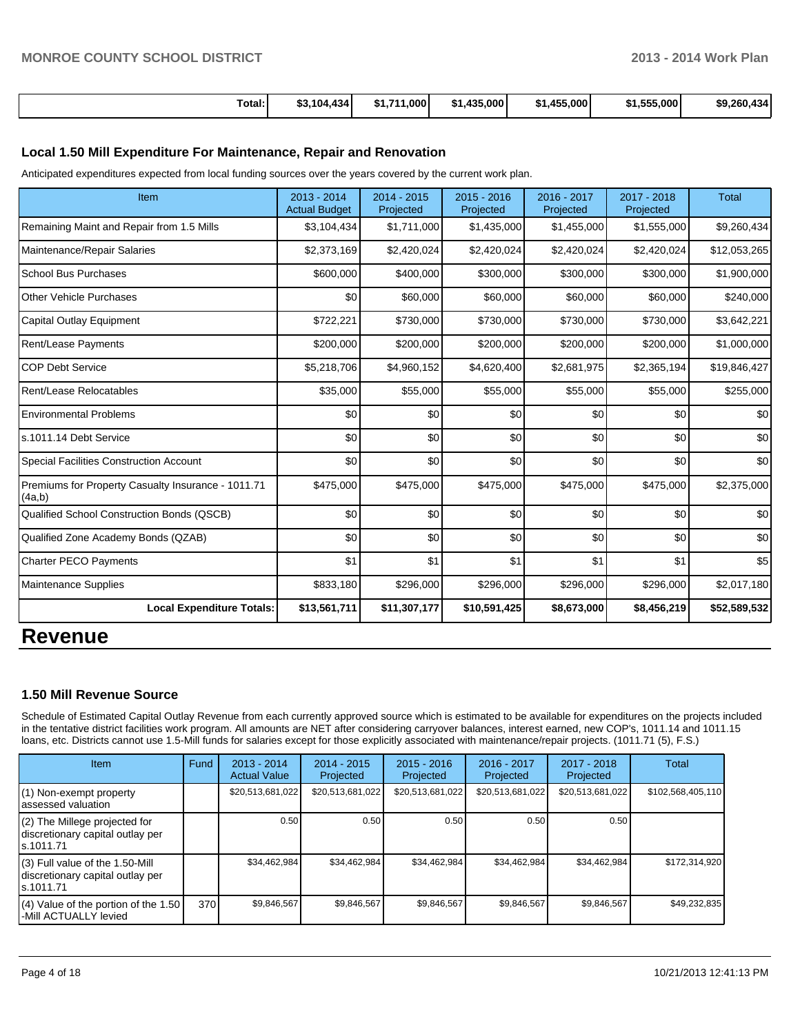| Total:<br>. | \$3.104.434 | 1.000<br><b>C4 744</b> | \$1,435,000 | 455<br>\$1,455,000 | \$1,555,000 | \$9,260,434 |
|-------------|-------------|------------------------|-------------|--------------------|-------------|-------------|

#### **Local 1.50 Mill Expenditure For Maintenance, Repair and Renovation**

Anticipated expenditures expected from local funding sources over the years covered by the current work plan.

| Item                                                         | 2013 - 2014<br><b>Actual Budget</b> | 2014 - 2015<br>Projected | 2015 - 2016<br>Projected | 2016 - 2017<br>Projected | 2017 - 2018<br>Projected | <b>Total</b> |
|--------------------------------------------------------------|-------------------------------------|--------------------------|--------------------------|--------------------------|--------------------------|--------------|
| Remaining Maint and Repair from 1.5 Mills                    | \$3,104,434                         | \$1,711,000              | \$1,435,000              | \$1,455,000              | \$1,555,000              | \$9,260,434  |
| Maintenance/Repair Salaries                                  | \$2,373,169                         | \$2,420,024              | \$2,420,024              | \$2,420,024              | \$2,420,024              | \$12,053,265 |
| <b>School Bus Purchases</b>                                  | \$600,000                           | \$400,000                | \$300,000                | \$300,000                | \$300,000                | \$1,900,000  |
| <b>Other Vehicle Purchases</b>                               | \$0                                 | \$60,000                 | \$60,000                 | \$60,000                 | \$60,000                 | \$240,000    |
| Capital Outlay Equipment                                     | \$722,221                           | \$730,000                | \$730,000                | \$730,000                | \$730,000                | \$3,642,221  |
| Rent/Lease Payments                                          | \$200,000                           | \$200,000                | \$200,000                | \$200,000                | \$200,000                | \$1,000,000  |
| <b>COP Debt Service</b>                                      | \$5,218,706                         | \$4,960,152              | \$4,620,400              | \$2,681,975              | \$2,365,194              | \$19,846,427 |
| Rent/Lease Relocatables                                      | \$35,000                            | \$55,000                 | \$55,000                 | \$55,000                 | \$55,000                 | \$255,000    |
| <b>Environmental Problems</b>                                | \$0                                 | \$0                      | \$0                      | \$0                      | \$0                      | \$0          |
| ls.1011.14 Debt Service                                      | \$0                                 | \$0                      | \$0                      | \$0                      | \$0                      | \$0          |
| <b>Special Facilities Construction Account</b>               | \$0                                 | \$0                      | \$0                      | \$0                      | \$0                      | \$0          |
| Premiums for Property Casualty Insurance - 1011.71<br>(4a,b) | \$475,000                           | \$475,000                | \$475,000                | \$475,000                | \$475,000                | \$2,375,000  |
| Qualified School Construction Bonds (QSCB)                   | \$0                                 | \$0                      | \$0                      | \$0                      | \$0                      | \$0          |
| Qualified Zone Academy Bonds (QZAB)                          | \$0                                 | \$0                      | \$0                      | \$0                      | \$0                      | \$0          |
| <b>Charter PECO Payments</b>                                 | \$1                                 | \$1                      | \$1                      | \$1                      | \$1                      | \$5          |
| <b>Maintenance Supplies</b>                                  | \$833,180                           | \$296,000                | \$296,000                | \$296,000                | \$296,000                | \$2,017,180  |
| <b>Local Expenditure Totals:</b>                             | \$13,561,711                        | \$11,307,177             | \$10,591,425             | \$8,673,000              | \$8,456,219              | \$52,589,532 |
|                                                              |                                     |                          |                          |                          |                          |              |

### **Revenue**

#### **1.50 Mill Revenue Source**

Schedule of Estimated Capital Outlay Revenue from each currently approved source which is estimated to be available for expenditures on the projects included in the tentative district facilities work program. All amounts are NET after considering carryover balances, interest earned, new COP's, 1011.14 and 1011.15 loans, etc. Districts cannot use 1.5-Mill funds for salaries except for those explicitly associated with maintenance/repair projects. (1011.71 (5), F.S.)

| Item                                                                                | Fund | $2013 - 2014$<br><b>Actual Value</b> | $2014 - 2015$<br>Projected | $2015 - 2016$<br>Projected | $2016 - 2017$<br>Projected | 2017 - 2018<br>Projected | <b>Total</b>      |
|-------------------------------------------------------------------------------------|------|--------------------------------------|----------------------------|----------------------------|----------------------------|--------------------------|-------------------|
| (1) Non-exempt property<br>lassessed valuation                                      |      | \$20,513,681,022                     | \$20,513,681,022           | \$20,513,681,022           | \$20,513,681,022           | \$20,513,681,022         | \$102,568,405,110 |
| (2) The Millege projected for<br>discretionary capital outlay per<br>ls.1011.71     |      | 0.50                                 | 0.50                       | 0.50                       | 0.50                       | 0.50                     |                   |
| $(3)$ Full value of the 1.50-Mill<br>discretionary capital outlay per<br>ls.1011.71 |      | \$34,462,984                         | \$34,462,984               | \$34,462,984               | \$34.462.984               | \$34,462,984             | \$172,314,920     |
| $(4)$ Value of the portion of the 1.50<br>l-Mill ACTUALLY levied                    | 370  | \$9,846,567                          | \$9,846,567                | \$9,846,567                | \$9,846,567                | \$9,846,567              | \$49,232,835      |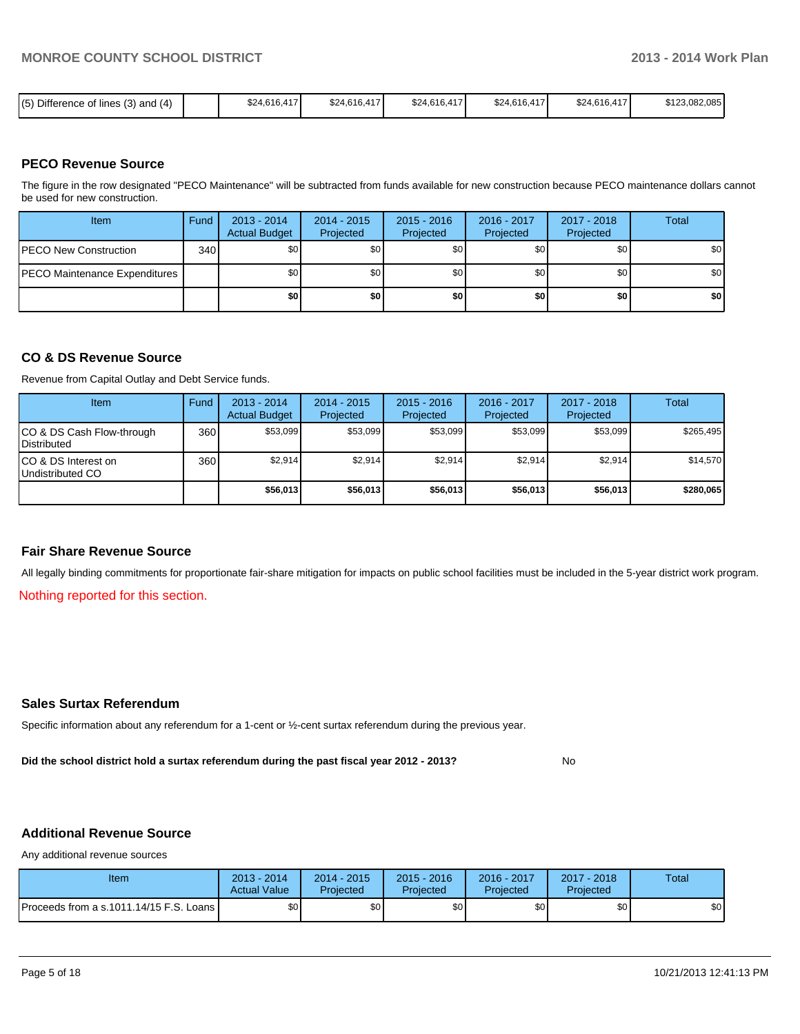| $(5)$ Difference of lines (3) and (4) | \$24,616,417 | \$24,616,417 | \$24,616,417 | \$24,616,417 | \$24,616,417 | \$123,082,085 |
|---------------------------------------|--------------|--------------|--------------|--------------|--------------|---------------|
|                                       |              |              |              |              |              |               |

#### **PECO Revenue Source**

The figure in the row designated "PECO Maintenance" will be subtracted from funds available for new construction because PECO maintenance dollars cannot be used for new construction.

| <b>Item</b>                          | Fund | $2013 - 2014$<br><b>Actual Budget</b> | $2014 - 2015$<br>Projected | $2015 - 2016$<br>Projected | 2016 - 2017<br>Projected | 2017 - 2018<br>Projected | Total |
|--------------------------------------|------|---------------------------------------|----------------------------|----------------------------|--------------------------|--------------------------|-------|
| <b>PECO New Construction</b>         | 340  | \$0                                   | \$0                        | \$0                        | \$0                      | \$0                      | \$0   |
| <b>PECO Maintenance Expenditures</b> |      | \$0                                   | \$0                        | \$0                        | \$0                      | \$0                      | \$0   |
|                                      |      | \$0 I                                 | \$0                        | \$0                        | \$0                      | \$0                      | \$0   |

#### **CO & DS Revenue Source**

Revenue from Capital Outlay and Debt Service funds.

| Item                                               | Fund             | $2013 - 2014$<br><b>Actual Budget</b> | $2014 - 2015$<br>Projected | $2015 - 2016$<br>Projected | $2016 - 2017$<br>Projected | $2017 - 2018$<br>Projected | Total     |
|----------------------------------------------------|------------------|---------------------------------------|----------------------------|----------------------------|----------------------------|----------------------------|-----------|
| ICO & DS Cash Flow-through<br><b>I</b> Distributed | 360              | \$53.099                              | \$53.099                   | \$53.099                   | \$53.099                   | \$53,099                   | \$265.495 |
| ICO & DS Interest on<br>Undistributed CO           | 360 <sup>I</sup> | \$2,914                               | \$2,914                    | \$2,914                    | \$2.914                    | \$2,914                    | \$14,570  |
|                                                    |                  | \$56,013                              | \$56,013                   | \$56,013                   | \$56,013                   | \$56,013                   | \$280,065 |

#### **Fair Share Revenue Source**

All legally binding commitments for proportionate fair-share mitigation for impacts on public school facilities must be included in the 5-year district work program.

Nothing reported for this section.

#### **Sales Surtax Referendum**

Specific information about any referendum for a 1-cent or ½-cent surtax referendum during the previous year.

**Did the school district hold a surtax referendum during the past fiscal year 2012 - 2013?**

No

#### **Additional Revenue Source**

Any additional revenue sources

| Item                                      | 2013 - 2014<br><b>Actual Value</b> | $2014 - 2015$<br>Projected | $2015 - 2016$<br>Projected | $2016 - 2017$<br>Projected | 2017 - 2018<br>Projected | Total |
|-------------------------------------------|------------------------------------|----------------------------|----------------------------|----------------------------|--------------------------|-------|
| Proceeds from a s.1011.14/15 F.S. Loans I | \$0 <sub>1</sub>                   | \$٥١                       | \$0                        | \$٥١                       | \$0                      | \$0   |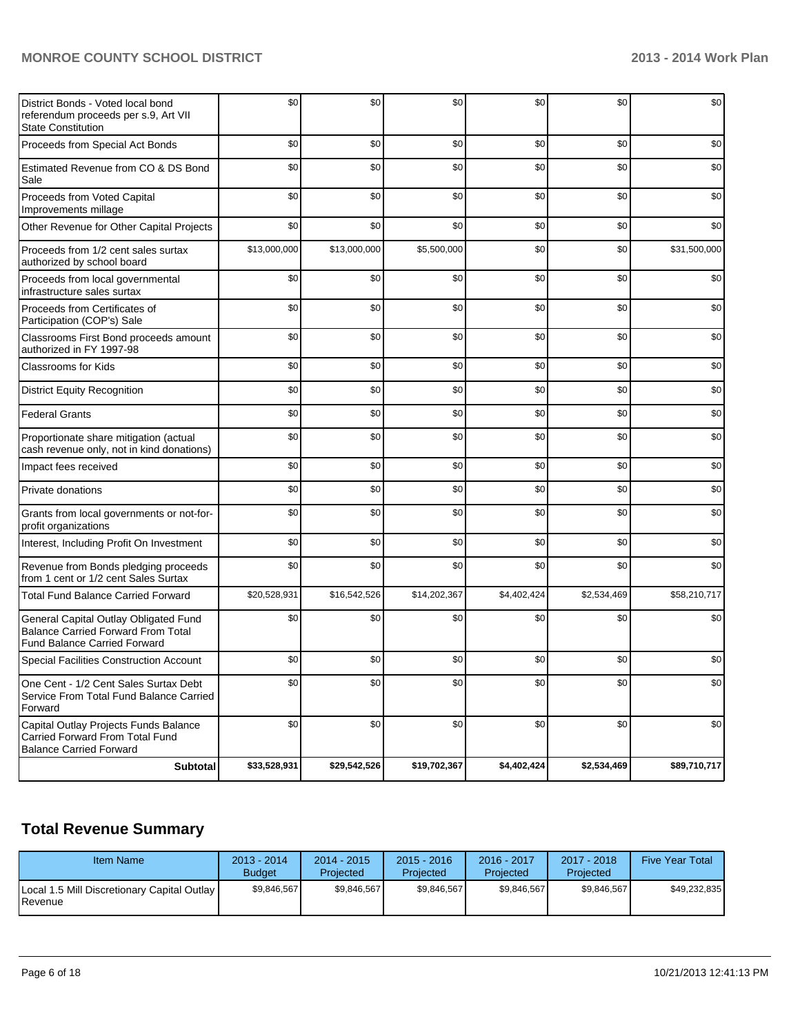#### **MONROE COUNTY SCHOOL DISTRICT 2013 - 2014 Work Plan**

| District Bonds - Voted local bond<br>referendum proceeds per s.9, Art VII<br><b>State Constitution</b>                    | \$0          | \$0          | \$0          | \$0         | \$0         | \$0          |
|---------------------------------------------------------------------------------------------------------------------------|--------------|--------------|--------------|-------------|-------------|--------------|
| Proceeds from Special Act Bonds                                                                                           | \$0          | \$0          | \$0          | \$0         | \$0         | \$0          |
| Estimated Revenue from CO & DS Bond<br>Sale                                                                               | \$0          | \$0          | \$0          | \$0         | \$0         | \$0          |
| Proceeds from Voted Capital<br>Improvements millage                                                                       | \$0          | \$0          | \$0          | \$0         | \$0         | \$0          |
| Other Revenue for Other Capital Projects                                                                                  | \$0          | \$0          | \$0          | \$0         | \$0         | \$0          |
| Proceeds from 1/2 cent sales surtax<br>authorized by school board                                                         | \$13,000,000 | \$13,000,000 | \$5,500,000  | \$0         | \$0         | \$31,500,000 |
| Proceeds from local governmental<br>infrastructure sales surtax                                                           | \$0          | \$0          | \$0          | \$0         | \$0         | \$0          |
| Proceeds from Certificates of<br>Participation (COP's) Sale                                                               | \$0          | \$0          | \$0          | \$0         | \$0         | \$0          |
| Classrooms First Bond proceeds amount<br>authorized in FY 1997-98                                                         | \$0          | \$0          | \$0          | \$0         | \$0         | \$0          |
| <b>Classrooms for Kids</b>                                                                                                | \$0          | \$0          | \$0          | \$0         | \$0         | \$0          |
| <b>District Equity Recognition</b>                                                                                        | \$0          | \$0          | \$0          | \$0         | \$0         | \$0          |
| <b>Federal Grants</b>                                                                                                     | \$0          | \$0          | \$0          | \$0         | \$0         | \$0          |
| Proportionate share mitigation (actual<br>cash revenue only, not in kind donations)                                       | \$0          | \$0          | \$0          | \$0         | \$0         | \$0          |
| Impact fees received                                                                                                      | \$0          | \$0          | \$0          | \$0         | \$0         | \$0          |
| Private donations                                                                                                         | \$0          | \$0          | \$0          | \$0         | \$0         | \$0          |
| Grants from local governments or not-for-<br>profit organizations                                                         | \$0          | \$0          | \$0          | \$0         | \$0         | \$0          |
| Interest, Including Profit On Investment                                                                                  | \$0          | \$0          | \$0          | \$0         | \$0         | \$0          |
| Revenue from Bonds pledging proceeds<br>from 1 cent or 1/2 cent Sales Surtax                                              | \$0          | \$0          | \$0          | \$0         | \$0         | \$0          |
| <b>Total Fund Balance Carried Forward</b>                                                                                 | \$20,528,931 | \$16,542,526 | \$14,202,367 | \$4,402,424 | \$2,534,469 | \$58,210,717 |
| General Capital Outlay Obligated Fund<br><b>Balance Carried Forward From Total</b><br><b>Fund Balance Carried Forward</b> | \$0          | \$0          | \$0          | \$0         | \$0         | \$0          |
| <b>Special Facilities Construction Account</b>                                                                            | \$0          | \$0          | \$0          | \$0         | \$0         | \$0          |
| One Cent - 1/2 Cent Sales Surtax Debt<br>Service From Total Fund Balance Carried<br>Forward                               | \$0          | \$0          | \$0          | \$0         | \$0         | \$0          |
| Capital Outlay Projects Funds Balance<br>Carried Forward From Total Fund<br><b>Balance Carried Forward</b>                | \$0          | \$0          | \$0          | \$0         | \$0         | \$0          |
| <b>Subtotal</b>                                                                                                           | \$33,528,931 | \$29,542,526 | \$19,702,367 | \$4,402,424 | \$2,534,469 | \$89,710,717 |

## **Total Revenue Summary**

| <b>Item Name</b>                                                | 2013 - 2014<br><b>Budget</b> | $2014 - 2015$<br>Projected | $2015 - 2016$<br>Projected | 2016 - 2017<br>Projected | $2017 - 2018$<br>Projected | <b>Five Year Total</b> |
|-----------------------------------------------------------------|------------------------------|----------------------------|----------------------------|--------------------------|----------------------------|------------------------|
| Local 1.5 Mill Discretionary Capital Outlay<br><b>I</b> Revenue | \$9.846.567                  | \$9.846.567                | \$9.846.567                | \$9.846.567              | \$9.846.567                | \$49,232,835           |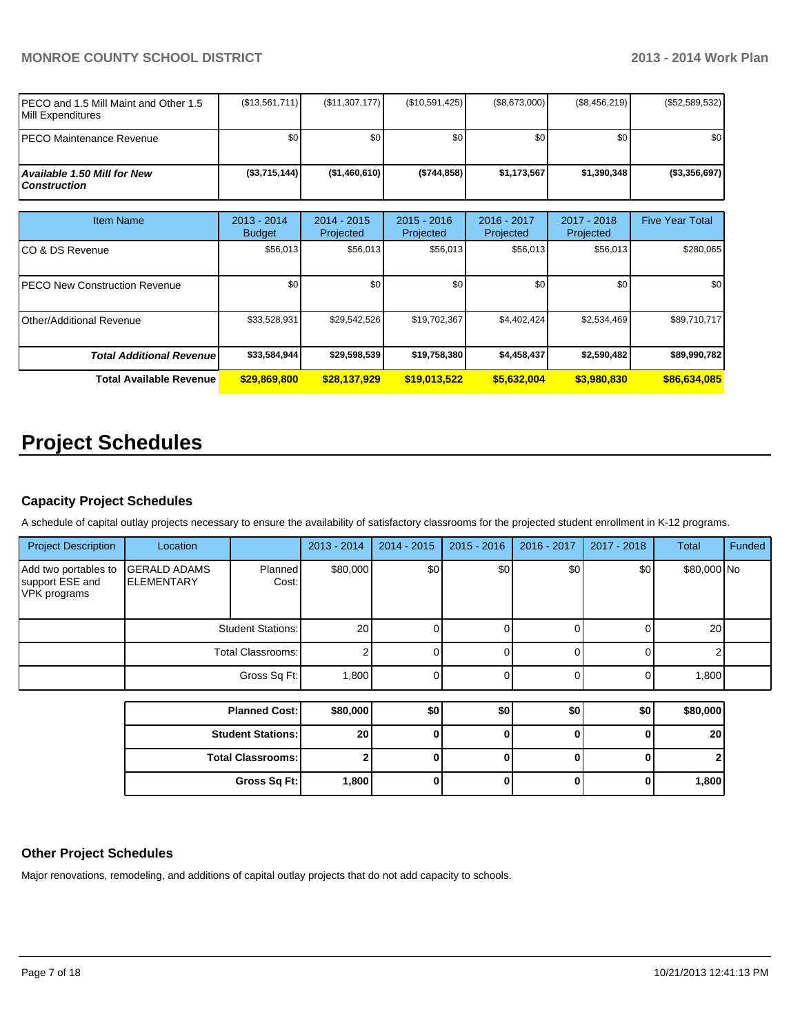#### **MONROE COUNTY SCHOOL DISTRICT 2013 - 2014 Work Plan**

| IPECO and 1.5 Mill Maint and Other 1.5<br><b>IMill Expenditures</b> | (\$13,561,711) | (S11, 307, 177)  | $(\$10,591,425)$ | (\$8,673,000) | (S8, 456, 219) | (S52, 589, 532) |
|---------------------------------------------------------------------|----------------|------------------|------------------|---------------|----------------|-----------------|
| IPECO Maintenance Revenue                                           | \$O I          | \$0              | \$0              | \$0 I         | \$0            | \$0             |
| <b>Available 1.50 Mill for New</b><br>l Construction                | (S3,715,144)   | $($ \$1,460,610) | (S744.858)       | \$1.173.567   | \$1,390,348    | (S3,356,697)    |

| <b>Item Name</b>                 | $2013 - 2014$<br><b>Budget</b> | $2014 - 2015$<br>Projected | $2015 - 2016$<br>Projected | $2016 - 2017$<br>Projected | 2017 - 2018<br>Projected | <b>Five Year Total</b> |
|----------------------------------|--------------------------------|----------------------------|----------------------------|----------------------------|--------------------------|------------------------|
| ICO & DS Revenue                 | \$56,013                       | \$56,013                   | \$56,013                   | \$56,013                   | \$56,013                 | \$280,065              |
| IPECO New Construction Revenue   | \$0                            | \$0                        | \$0                        | \$0                        | \$0                      | \$0                    |
| Other/Additional Revenue         | \$33,528,931                   | \$29,542,526               | \$19,702,367               | \$4.402.424                | \$2,534,469              | \$89,710,717           |
| <b>Total Additional Revenuel</b> | \$33,584,944                   | \$29,598,539               | \$19,758,380               | \$4,458,437                | \$2,590,482              | \$89,990,782           |
| <b>Total Available Revenue</b>   | \$29,869,800                   | \$28,137,929               | \$19,013,522               | \$5,632,004                | \$3,980,830              | \$86,634,085           |

## **Project Schedules**

#### **Capacity Project Schedules**

A schedule of capital outlay projects necessary to ensure the availability of satisfactory classrooms for the projected student enrollment in K-12 programs.

| <b>Project Description</b>                              | Location                                  |                      | 2013 - 2014     | $2014 - 2015$ | $2015 - 2016$        | 2016 - 2017 | $2017 - 2018$    | Total       | Funded |
|---------------------------------------------------------|-------------------------------------------|----------------------|-----------------|---------------|----------------------|-------------|------------------|-------------|--------|
| Add two portables to<br>support ESE and<br>VPK programs | <b>GERALD ADAMS</b><br><b>IELEMENTARY</b> | Planned<br>Cost:     | \$80,000        | \$0           | \$0                  | \$0         | \$0 <sub>1</sub> | \$80,000 No |        |
|                                                         | <b>Student Stations:</b>                  |                      | 20 <sup>1</sup> |               |                      |             |                  | <b>20</b>   |        |
|                                                         | Total Classrooms:                         |                      |                 |               |                      |             |                  |             |        |
|                                                         |                                           | Gross Sq Ft:         | 1,800           |               |                      |             |                  | 1,800       |        |
|                                                         |                                           |                      |                 |               |                      |             |                  |             |        |
|                                                         |                                           | <b>Planned Cost:</b> | \$80,000        | \$0           | \$0                  | \$0         | \$0              | \$80,000    |        |
|                                                         |                                           | Product Professor    | $\sim$          |               | $\ddot{\phantom{0}}$ |             |                  | nn l        |        |

| <b>Student Stations:</b> | 20 <sub>1</sub> |  |  | 20 <sub>1</sub> |
|--------------------------|-----------------|--|--|-----------------|
| Total Classrooms:        |                 |  |  |                 |
| Gross Sq Ft:             | 1,800           |  |  | 1,800           |

#### **Other Project Schedules**

Major renovations, remodeling, and additions of capital outlay projects that do not add capacity to schools.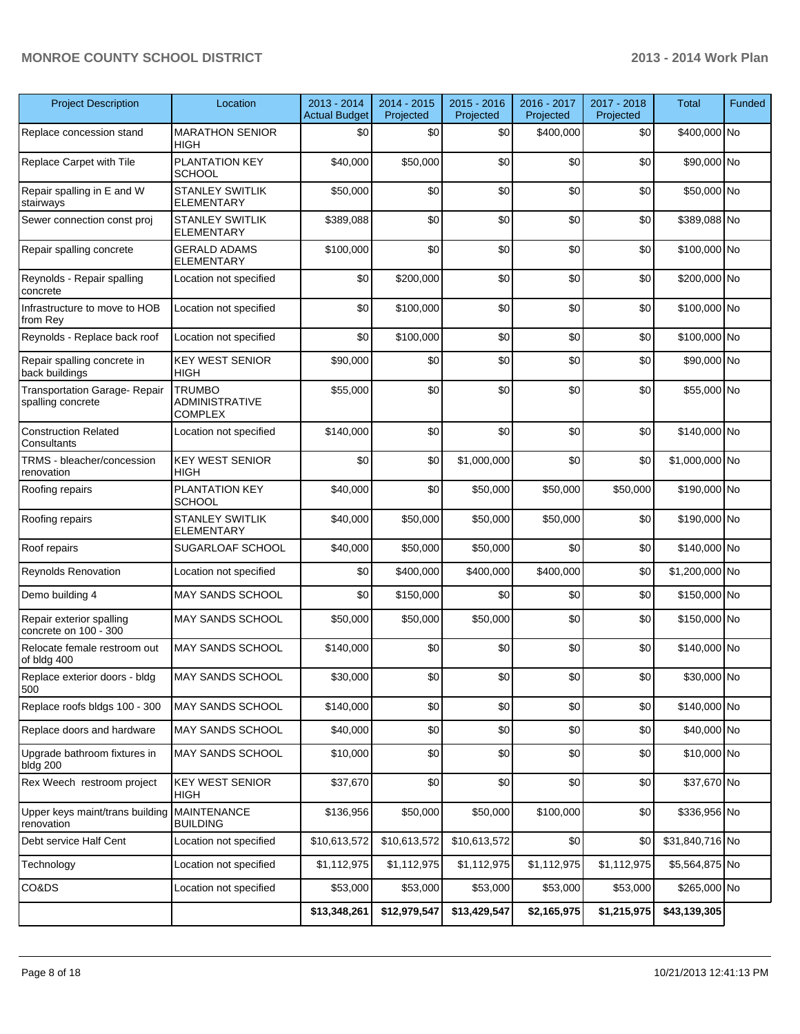#### **MONROE COUNTY SCHOOL DISTRICT 2013 - 2014 Work Plan**

| <b>Project Description</b>                                | Location                                                 | 2013 - 2014<br><b>Actual Budget</b> | 2014 - 2015<br>Projected | 2015 - 2016<br>Projected | 2016 - 2017<br>Projected | 2017 - 2018<br>Projected | <b>Total</b>    | Funded |
|-----------------------------------------------------------|----------------------------------------------------------|-------------------------------------|--------------------------|--------------------------|--------------------------|--------------------------|-----------------|--------|
| Replace concession stand                                  | <b>MARATHON SENIOR</b><br>HIGH                           | \$0                                 | \$0                      | \$0                      | \$400,000                | \$0                      | \$400,000 No    |        |
| Replace Carpet with Tile                                  | PLANTATION KEY<br><b>SCHOOL</b>                          | \$40,000                            | \$50,000                 | \$0                      | \$0                      | \$0                      | \$90,000 No     |        |
| Repair spalling in E and W<br>stairways                   | STANLEY SWITLIK<br><b>ELEMENTARY</b>                     | \$50,000                            | \$0                      | \$0                      | \$0                      | \$0                      | \$50,000 No     |        |
| Sewer connection const proj                               | <b>STANLEY SWITLIK</b><br><b>ELEMENTARY</b>              | \$389,088                           | \$0                      | \$0                      | \$0                      | \$0                      | \$389,088 No    |        |
| Repair spalling concrete                                  | <b>GERALD ADAMS</b><br>ELEMENTARY                        | \$100,000                           | \$0                      | \$0                      | \$0                      | \$0                      | \$100,000 No    |        |
| Reynolds - Repair spalling<br>concrete                    | Location not specified                                   | \$0                                 | \$200,000                | \$0                      | \$0                      | \$0                      | \$200,000 No    |        |
| Infrastructure to move to HOB<br>from Rey                 | Location not specified                                   | \$0                                 | \$100,000                | \$0                      | \$0                      | \$0                      | \$100,000 No    |        |
| Reynolds - Replace back roof                              | Location not specified                                   | \$0                                 | \$100,000                | \$0                      | \$0                      | \$0                      | \$100,000 No    |        |
| Repair spalling concrete in<br>back buildings             | <b>KEY WEST SENIOR</b><br><b>HIGH</b>                    | \$90,000                            | \$0                      | \$0                      | \$0                      | \$0                      | \$90,000 No     |        |
| <b>Transportation Garage- Repair</b><br>spalling concrete | <b>TRUMBO</b><br><b>ADMINISTRATIVE</b><br><b>COMPLEX</b> | \$55,000                            | \$0                      | \$0                      | \$0                      | \$0                      | \$55,000 No     |        |
| <b>Construction Related</b><br>Consultants                | Location not specified                                   | \$140,000                           | \$0                      | \$0                      | \$0                      | \$0                      | \$140,000 No    |        |
| TRMS - bleacher/concession<br>renovation                  | <b>KEY WEST SENIOR</b><br><b>HIGH</b>                    | \$0                                 | \$0                      | \$1,000,000              | \$0                      | \$0                      | \$1,000,000 No  |        |
| Roofing repairs                                           | PLANTATION KEY<br><b>SCHOOL</b>                          | \$40,000                            | \$0                      | \$50,000                 | \$50,000                 | \$50,000                 | \$190,000 No    |        |
| Roofing repairs                                           | <b>STANLEY SWITLIK</b><br><b>ELEMENTARY</b>              | \$40,000                            | \$50,000                 | \$50,000                 | \$50,000                 | \$0                      | \$190,000 No    |        |
| Roof repairs                                              | SUGARLOAF SCHOOL                                         | \$40,000                            | \$50,000                 | \$50,000                 | \$0                      | \$0                      | \$140,000 No    |        |
| Reynolds Renovation                                       | Location not specified                                   | \$0                                 | \$400,000                | \$400,000                | \$400,000                | \$0                      | \$1,200,000 No  |        |
| Demo building 4                                           | <b>MAY SANDS SCHOOL</b>                                  | \$0                                 | \$150,000                | \$0                      | \$0                      | \$0                      | \$150,000 No    |        |
| Repair exterior spalling<br>concrete on 100 - 300         | MAY SANDS SCHOOL                                         | \$50,000                            | \$50,000                 | \$50,000                 | \$0                      | \$0                      | \$150,000 No    |        |
| Relocate female restroom out<br>of bldg 400               | <b>MAY SANDS SCHOOL</b>                                  | \$140,000                           | \$0                      | \$0                      | \$0                      | \$0                      | \$140,000 No    |        |
| Replace exterior doors - bldg<br>500                      | MAY SANDS SCHOOL                                         | \$30,000                            | \$0                      | \$0                      | $\$0$                    | \$0                      | \$30,000 No     |        |
| Replace roofs bldgs 100 - 300                             | MAY SANDS SCHOOL                                         | \$140,000                           | \$0                      | \$0                      | \$0                      | \$0                      | \$140,000 No    |        |
| Replace doors and hardware                                | MAY SANDS SCHOOL                                         | \$40,000                            | \$0                      | \$0                      | \$0                      | \$0                      | \$40,000 No     |        |
| Upgrade bathroom fixtures in<br>bldg 200                  | MAY SANDS SCHOOL                                         | \$10,000                            | \$0                      | \$0                      | \$0                      | \$0                      | \$10,000 No     |        |
| Rex Weech restroom project                                | <b>KEY WEST SENIOR</b><br><b>HIGH</b>                    | \$37,670                            | \$0                      | \$0                      | \$0                      | \$0                      | \$37,670 No     |        |
| Upper keys maint/trans building<br>renovation             | MAINTENANCE<br><b>BUILDING</b>                           | \$136,956                           | \$50,000                 | \$50,000                 | \$100,000                | \$0                      | \$336,956 No    |        |
| Debt service Half Cent                                    | Location not specified                                   | \$10,613,572                        | \$10,613,572             | \$10,613,572             | \$0                      | \$0                      | \$31,840,716 No |        |
| Technology                                                | Location not specified                                   | \$1,112,975                         | \$1,112,975              | \$1,112,975              | \$1,112,975              | \$1,112,975              | \$5,564,875 No  |        |
| CO&DS                                                     | Location not specified                                   | \$53,000                            | \$53,000                 | \$53,000                 | \$53,000                 | \$53,000                 | \$265,000 No    |        |
|                                                           |                                                          | \$13,348,261                        | \$12,979,547             | \$13,429,547             | \$2,165,975              | \$1,215,975              | \$43,139,305    |        |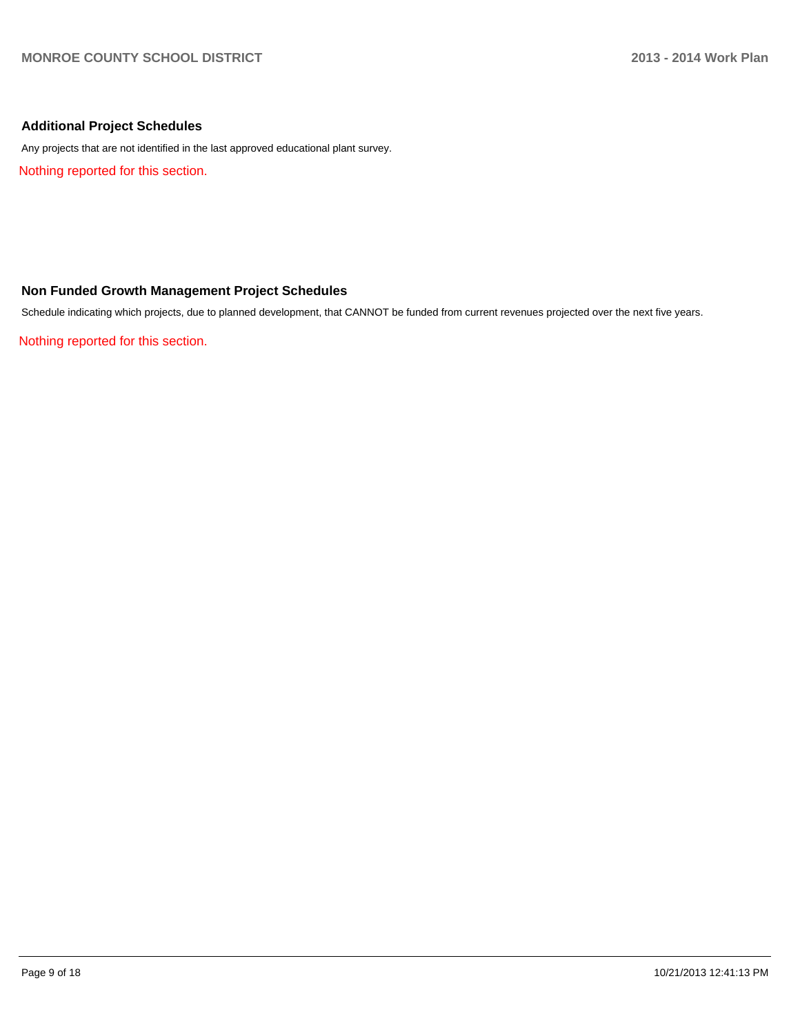#### **Additional Project Schedules**

Any projects that are not identified in the last approved educational plant survey.

Nothing reported for this section.

#### **Non Funded Growth Management Project Schedules**

Schedule indicating which projects, due to planned development, that CANNOT be funded from current revenues projected over the next five years.

Nothing reported for this section.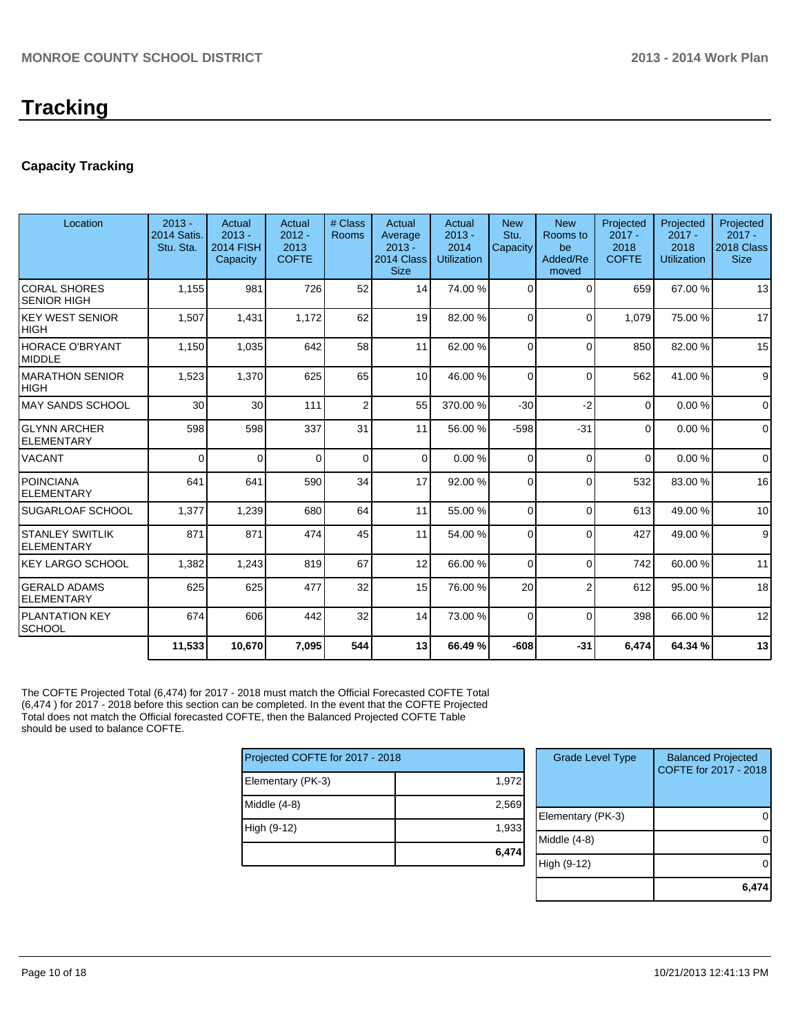#### **Capacity Tracking**

| Location                                    | $2013 -$<br><b>2014 Satis.</b><br>Stu. Sta. | Actual<br>$2013 -$<br><b>2014 FISH</b><br>Capacity | <b>Actual</b><br>$2012 -$<br>2013<br><b>COFTE</b> | # Class<br>Rooms | Actual<br>Average<br>$2013 -$<br>2014 Class<br><b>Size</b> | Actual<br>$2013 -$<br>2014<br><b>Utilization</b> | <b>New</b><br>Stu.<br>Capacity | <b>New</b><br>Rooms to<br>be<br>Added/Re<br>moved | Projected<br>$2017 -$<br>2018<br><b>COFTE</b> | Projected<br>$2017 -$<br>2018<br><b>Utilization</b> | Projected<br>$2017 -$<br>2018 Class<br><b>Size</b> |
|---------------------------------------------|---------------------------------------------|----------------------------------------------------|---------------------------------------------------|------------------|------------------------------------------------------------|--------------------------------------------------|--------------------------------|---------------------------------------------------|-----------------------------------------------|-----------------------------------------------------|----------------------------------------------------|
| <b>CORAL SHORES</b><br><b>SENIOR HIGH</b>   | 1,155                                       | 981                                                | 726                                               | 52               | 14                                                         | 74.00 %                                          | $\Omega$                       | $\Omega$                                          | 659                                           | 67.00 %                                             | 13                                                 |
| <b>KEY WEST SENIOR</b><br><b>HIGH</b>       | 1,507                                       | 1,431                                              | 1,172                                             | 62               | 19                                                         | 82.00 %                                          | $\Omega$                       | $\Omega$                                          | 1,079                                         | 75.00 %                                             | 17                                                 |
| <b>HORACE O'BRYANT</b><br><b>MIDDLE</b>     | 1,150                                       | 1,035                                              | 642                                               | 58               | 11                                                         | 62.00 %                                          | $\Omega$                       | $\Omega$                                          | 850                                           | 82.00%                                              | 15                                                 |
| <b>MARATHON SENIOR</b><br><b>HIGH</b>       | 1,523                                       | 1,370                                              | 625                                               | 65               | 10 <sup>1</sup>                                            | 46.00 %                                          | $\Omega$                       | $\Omega$                                          | 562                                           | 41.00%                                              | 9                                                  |
| <b>MAY SANDS SCHOOL</b>                     | 30                                          | 30                                                 | 111                                               | $\overline{2}$   | 55                                                         | 370.00%                                          | $-30$                          | $-2$                                              | $\Omega$                                      | 0.00%                                               | $\mathbf 0$                                        |
| <b>GLYNN ARCHER</b><br><b>ELEMENTARY</b>    | 598                                         | 598                                                | 337                                               | 31               | 11                                                         | 56.00 %                                          | $-598$                         | $-31$                                             | $\Omega$                                      | 0.00%                                               | $\mathbf 0$                                        |
| VACANT                                      | $\Omega$                                    | $\Omega$                                           | $\Omega$                                          | $\Omega$         | $\Omega$                                                   | 0.00%                                            | $\Omega$                       | $\Omega$                                          | $\Omega$                                      | 0.00%                                               | $\mathbf 0$                                        |
| <b>POINCIANA</b><br><b>ELEMENTARY</b>       | 641                                         | 641                                                | 590                                               | 34               | 17                                                         | 92.00 %                                          | $\Omega$                       | $\Omega$                                          | 532                                           | 83.00 %                                             | 16                                                 |
| SUGARLOAF SCHOOL                            | 1,377                                       | 1,239                                              | 680                                               | 64               | 11                                                         | 55.00 %                                          | $\Omega$                       | $\Omega$                                          | 613                                           | 49.00 %                                             | 10                                                 |
| <b>STANLEY SWITLIK</b><br><b>ELEMENTARY</b> | 871                                         | 871                                                | 474                                               | 45               | 11                                                         | 54.00 %                                          | $\Omega$                       | $\Omega$                                          | 427                                           | 49.00%                                              | 9                                                  |
| <b>KEY LARGO SCHOOL</b>                     | 1,382                                       | 1,243                                              | 819                                               | 67               | 12                                                         | 66.00 %                                          | $\Omega$                       | $\Omega$                                          | 742                                           | 60.00%                                              | 11                                                 |
| <b>GERALD ADAMS</b><br><b>ELEMENTARY</b>    | 625                                         | 625                                                | 477                                               | 32               | 15                                                         | 76.00 %                                          | 20                             | $\overline{2}$                                    | 612                                           | 95.00 %                                             | 18                                                 |
| <b>PLANTATION KEY</b><br><b>SCHOOL</b>      | 674                                         | 606                                                | 442                                               | 32               | 14                                                         | 73.00 %                                          | $\Omega$                       | $\Omega$                                          | 398                                           | 66.00 %                                             | 12                                                 |
|                                             | 11,533                                      | 10,670                                             | 7,095                                             | 544              | 13                                                         | 66.49 %                                          | $-608$                         | $-31$                                             | 6,474                                         | 64.34 %                                             | 13                                                 |
|                                             |                                             |                                                    |                                                   |                  |                                                            |                                                  |                                |                                                   |                                               |                                                     |                                                    |

The COFTE Projected Total (6,474) for 2017 - 2018 must match the Official Forecasted COFTE Total (6,474 ) for 2017 - 2018 before this section can be completed. In the event that the COFTE Projected Total does not match the Official forecasted COFTE, then the Balanced Projected COFTE Table should be used to balance COFTE.

| Projected COFTE for 2017 - 2018 |       |  |  |  |  |  |
|---------------------------------|-------|--|--|--|--|--|
| Elementary (PK-3)               | 1,972 |  |  |  |  |  |
| Middle (4-8)                    | 2,569 |  |  |  |  |  |
| High (9-12)                     | 1,933 |  |  |  |  |  |
|                                 | 6,474 |  |  |  |  |  |

| <b>Grade Level Type</b> | <b>Balanced Projected</b><br>COFTE for 2017 - 2018 |
|-------------------------|----------------------------------------------------|
| Elementary (PK-3)       |                                                    |
| Middle (4-8)            |                                                    |
| High (9-12)             |                                                    |
|                         |                                                    |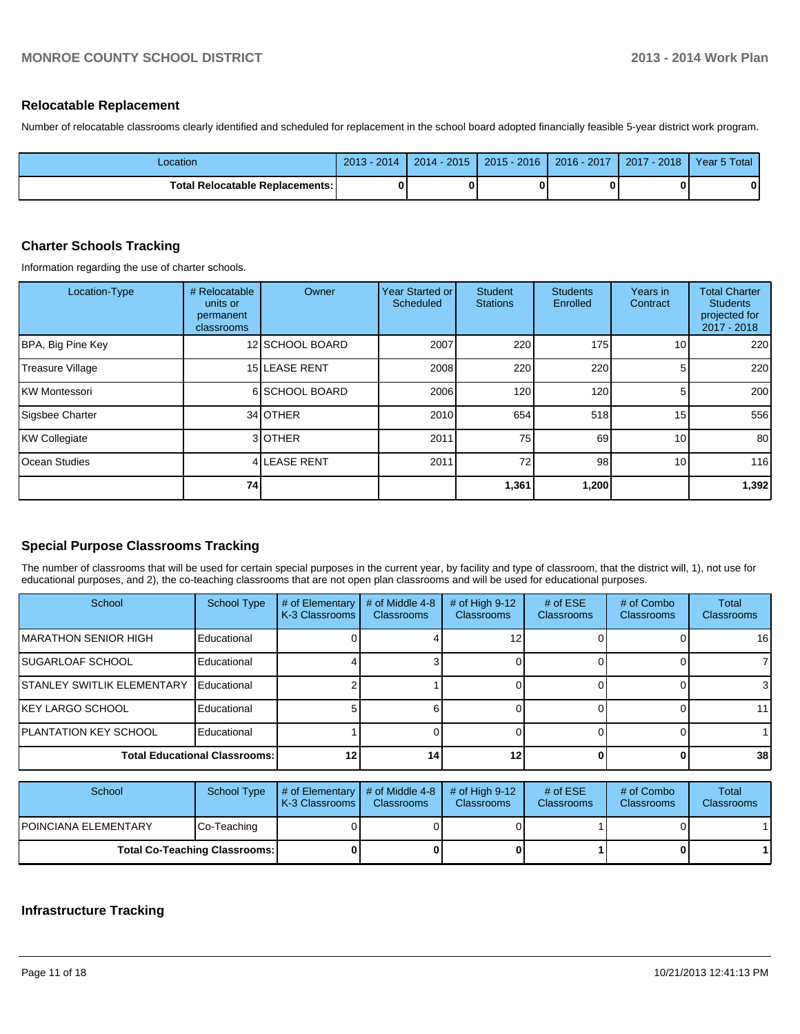#### **Relocatable Replacement**

Number of relocatable classrooms clearly identified and scheduled for replacement in the school board adopted financially feasible 5-year district work program.

| _ocation                                 | $2013 - 1$<br>2014 | $2014 - 2015$ | $2015 - 2016$ | $2016 - 2017$ | $2017 - 2018$ | Year 5 Total |
|------------------------------------------|--------------------|---------------|---------------|---------------|---------------|--------------|
| <b>Total Relocatable Replacements: I</b> |                    |               |               |               |               |              |

#### **Charter Schools Tracking**

Information regarding the use of charter schools.

| Location-Type           | # Relocatable<br>units or<br>permanent<br>classrooms | Owner           | Year Started or<br>Scheduled | <b>Student</b><br><b>Stations</b> | <b>Students</b><br>Enrolled | Years in<br>Contract | <b>Total Charter</b><br><b>Students</b><br>projected for<br>$2017 - 2018$ |
|-------------------------|------------------------------------------------------|-----------------|------------------------------|-----------------------------------|-----------------------------|----------------------|---------------------------------------------------------------------------|
| BPA, Big Pine Key       |                                                      | 12 SCHOOL BOARD | 2007                         | 220                               | 175                         | 10 <sub>1</sub>      | 220                                                                       |
| <b>Treasure Village</b> |                                                      | 15 LEASE RENT   | 2008                         | 220                               | 220                         | 5 <sub>1</sub>       | 220                                                                       |
| <b>IKW Montessori</b>   |                                                      | 6 SCHOOL BOARD  | 2006                         | 120 <sub>l</sub>                  | 120                         |                      | 200                                                                       |
| Sigsbee Charter         |                                                      | 34 OTHER        | 2010                         | 654                               | 518                         | 15                   | 556                                                                       |
| KW Collegiate           |                                                      | 3 <b>OTHER</b>  | 2011                         | 75                                | 69                          | 10                   | 80                                                                        |
| <b>Ocean Studies</b>    |                                                      | 4 LEASE RENT    | 2011                         | 72                                | 98                          | 10 <sub>1</sub>      | 116                                                                       |
|                         | 74                                                   |                 |                              | 1,361                             | 1,200                       |                      | 1,392                                                                     |

#### **Special Purpose Classrooms Tracking**

The number of classrooms that will be used for certain special purposes in the current year, by facility and type of classroom, that the district will, 1), not use for educational purposes, and 2), the co-teaching classrooms that are not open plan classrooms and will be used for educational purposes.

| School                               | <b>School Type</b> | # of Elementary<br>K-3 Classrooms | # of Middle 4-8<br><b>Classrooms</b> | # of High $9-12$<br><b>Classrooms</b> | # of $ESE$<br><b>Classrooms</b> | # of Combo<br><b>Classrooms</b> | <b>Total</b><br><b>Classrooms</b> |
|--------------------------------------|--------------------|-----------------------------------|--------------------------------------|---------------------------------------|---------------------------------|---------------------------------|-----------------------------------|
| <b>IMARATHON SENIOR HIGH</b>         | Educational        |                                   |                                      |                                       |                                 |                                 | 16 <sup>1</sup>                   |
| <b>ISUGARLOAF SCHOOL</b>             | Educational        |                                   |                                      |                                       |                                 |                                 |                                   |
| <b>ISTANLEY SWITLIK ELEMENTARY</b>   | Educational        |                                   |                                      |                                       |                                 |                                 | 31                                |
| IKEY LARGO SCHOOL                    | Educational        |                                   |                                      |                                       |                                 |                                 | 11 <sup>1</sup>                   |
| <b>PLANTATION KEY SCHOOL</b>         | Educational        |                                   |                                      |                                       |                                 |                                 |                                   |
| <b>Total Educational Classrooms:</b> |                    |                                   | 14                                   | 12                                    |                                 |                                 | 38 <sup>l</sup>                   |

| School                               | School Type | $\parallel$ # of Elementary $\parallel$ # of Middle 4-8 $\parallel$ # of High 9-12<br><b>K-3 Classrooms</b> | <b>Classrooms</b> | <b>Classrooms</b> | # of $ESE$<br><b>Classrooms</b> | # of Combo<br><b>Classrooms</b> | Total<br><b>Classrooms</b> |
|--------------------------------------|-------------|-------------------------------------------------------------------------------------------------------------|-------------------|-------------------|---------------------------------|---------------------------------|----------------------------|
| IPOINCIANA ELEMENTARY                | Co-Teaching |                                                                                                             |                   |                   |                                 |                                 |                            |
| <b>Total Co-Teaching Classrooms:</b> |             |                                                                                                             |                   |                   |                                 |                                 |                            |

#### **Infrastructure Tracking**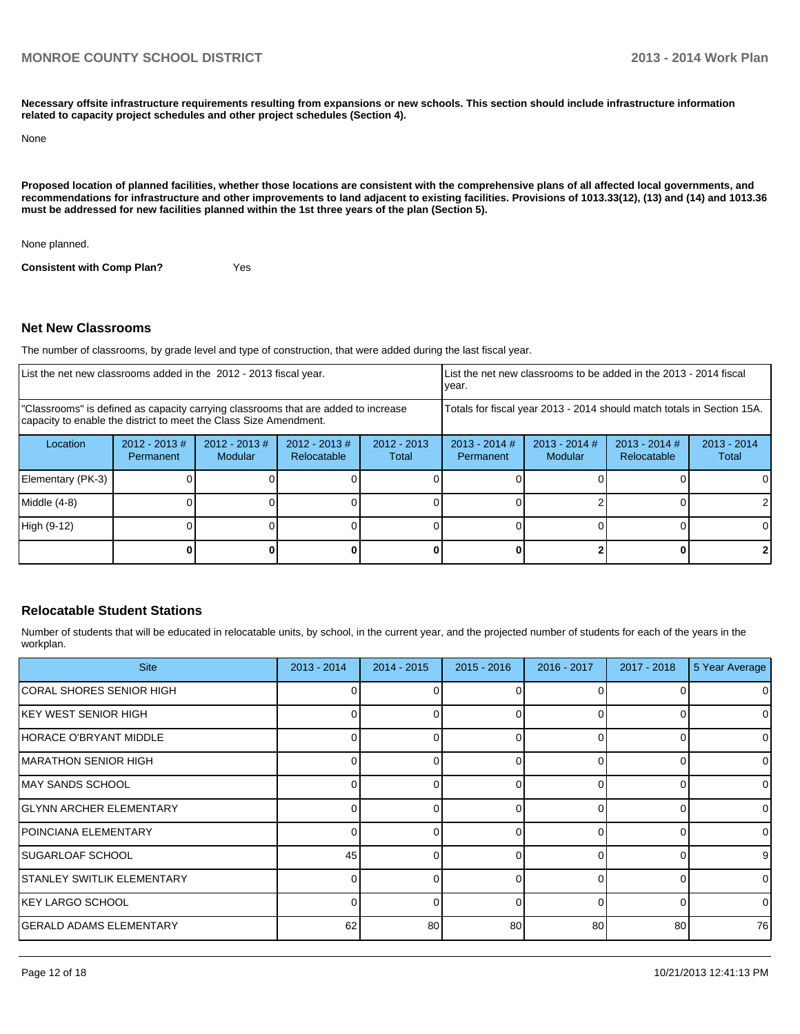**Necessary offsite infrastructure requirements resulting from expansions or new schools. This section should include infrastructure information related to capacity project schedules and other project schedules (Section 4).**

None

**Proposed location of planned facilities, whether those locations are consistent with the comprehensive plans of all affected local governments, and recommendations for infrastructure and other improvements to land adjacent to existing facilities. Provisions of 1013.33(12), (13) and (14) and 1013.36 must be addressed for new facilities planned within the 1st three years of the plan (Section 5).**

None planned.

**Consistent with Comp Plan?** Yes

#### **Net New Classrooms**

The number of classrooms, by grade level and type of construction, that were added during the last fiscal year.

| List the net new classrooms added in the 2012 - 2013 fiscal year.                                                                                       |                               |                            |                                | List the net new classrooms to be added in the 2013 - 2014 fiscal<br>vear. |                              |                                                                        |                                       |                      |
|---------------------------------------------------------------------------------------------------------------------------------------------------------|-------------------------------|----------------------------|--------------------------------|----------------------------------------------------------------------------|------------------------------|------------------------------------------------------------------------|---------------------------------------|----------------------|
| "Classrooms" is defined as capacity carrying classrooms that are added to increase<br>capacity to enable the district to meet the Class Size Amendment. |                               |                            |                                |                                                                            |                              | Totals for fiscal year 2013 - 2014 should match totals in Section 15A. |                                       |                      |
| Location                                                                                                                                                | $2012 - 2013 \#$<br>Permanent | $2012 - 2013$ #<br>Modular | $2012 - 2013$ #<br>Relocatable | $2012 - 2013$<br>Total                                                     | $2013 - 2014$ #<br>Permanent | $2013 - 2014$ #<br>Modular                                             | $2013 - 2014$ #<br><b>Relocatable</b> | 2013 - 2014<br>Total |
| Elementary (PK-3)                                                                                                                                       |                               |                            |                                |                                                                            |                              |                                                                        |                                       |                      |
| Middle (4-8)                                                                                                                                            |                               |                            |                                |                                                                            |                              |                                                                        |                                       |                      |
| High (9-12)                                                                                                                                             |                               |                            |                                |                                                                            |                              |                                                                        |                                       |                      |
|                                                                                                                                                         |                               |                            |                                |                                                                            |                              |                                                                        |                                       |                      |

#### **Relocatable Student Stations**

Number of students that will be educated in relocatable units, by school, in the current year, and the projected number of students for each of the years in the workplan.

| <b>Site</b>                       | $2013 - 2014$ | 2014 - 2015 | $2015 - 2016$ | 2016 - 2017 | 2017 - 2018 | 5 Year Average |
|-----------------------------------|---------------|-------------|---------------|-------------|-------------|----------------|
| CORAL SHORES SENIOR HIGH          |               |             |               |             |             | $\Omega$       |
| IKEY WEST SENIOR HIGH             |               |             |               | $\Omega$    |             | 0              |
| HORACE O'BRYANT MIDDLE            | ΩI            |             | 0             | $\Omega$    |             | 0              |
| <b>IMARATHON SENIOR HIGH</b>      |               |             | 0             | $\Omega$    |             | $\overline{0}$ |
| <b>IMAY SANDS SCHOOL</b>          |               |             |               | $\Omega$    |             | $\overline{0}$ |
| IGLYNN ARCHER ELEMENTARY          | ΩI            |             | 0             | $\Omega$    |             | $\overline{0}$ |
| IPOINCIANA ELEMENTARY             |               |             | <sup>0</sup>  | $\Omega$    |             | $\Omega$       |
| <b>SUGARLOAF SCHOOL</b>           | 45            |             | <sup>0</sup>  | $\Omega$    |             | 9 <sub>l</sub> |
| <b>STANLEY SWITLIK ELEMENTARY</b> | ΩI            | n           | $\Omega$      | $\Omega$    | n           | $\overline{0}$ |
| IKEY LARGO SCHOOL                 |               |             | U             | $\Omega$    | n           | $\Omega$       |
| <b>GERALD ADAMS ELEMENTARY</b>    | 62            | 80          | 80            | 80          | 80          | 76             |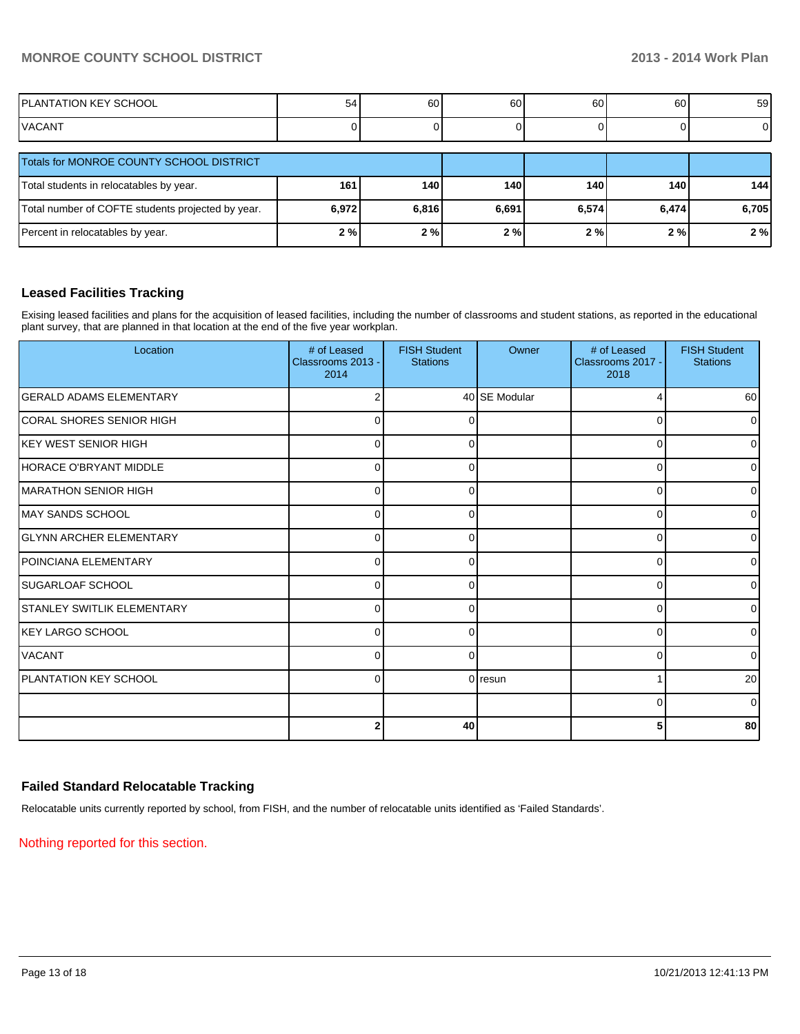| IPLANTATION KEY SCHOOL | h.<br>ີ | 60 | 60 | 60 | $\sim$<br>oυ | 59 |
|------------------------|---------|----|----|----|--------------|----|
| <b>IVACANT</b>         |         |    |    |    |              | v  |

| Totals for MONROE COUNTY SCHOOL DISTRICT          |       |            |       |       |       |       |
|---------------------------------------------------|-------|------------|-------|-------|-------|-------|
| Total students in relocatables by year.           | 161.  | <b>140</b> | 140   | 140   | 140   | 144   |
| Total number of COFTE students projected by year. | 6,972 | 6,816      | 6,691 | 6,574 | 6.474 | 6,705 |
| Percent in relocatables by year.                  | 2%    | 2%         | 2%    | 2%    | 2 % I | 2%    |

#### **Leased Facilities Tracking**

Exising leased facilities and plans for the acquisition of leased facilities, including the number of classrooms and student stations, as reported in the educational plant survey, that are planned in that location at the end of the five year workplan.

| Location                       | # of Leased<br>Classrooms 2013 -<br>2014 | <b>FISH Student</b><br><b>Stations</b> | Owner         | # of Leased<br>Classrooms 2017 -<br>2018 | <b>FISH Student</b><br><b>Stations</b> |
|--------------------------------|------------------------------------------|----------------------------------------|---------------|------------------------------------------|----------------------------------------|
| <b>GERALD ADAMS ELEMENTARY</b> | 2                                        |                                        | 40 SE Modular |                                          | 60                                     |
| CORAL SHORES SENIOR HIGH       | 0                                        |                                        |               |                                          | $\mathbf 0$                            |
| IKEY WEST SENIOR HIGH          | $\Omega$                                 |                                        |               |                                          | $\mathbf 0$                            |
| HORACE O'BRYANT MIDDLE         | 0                                        | 0                                      |               | $\Omega$                                 | $\mathbf 0$                            |
| IMARATHON SENIOR HIGH          | $\Omega$                                 | $\Omega$                               |               | $\Omega$                                 | $\mathbf 0$                            |
| IMAY SANDS SCHOOL              | $\Omega$                                 | $\Omega$                               |               | $\Omega$                                 | $\overline{0}$                         |
| <b>GLYNN ARCHER ELEMENTARY</b> | $\Omega$                                 | $\Omega$                               |               | $\Omega$                                 | $\mathbf 0$                            |
| POINCIANA ELEMENTARY           | $\Omega$                                 |                                        |               | ∩                                        | $\overline{0}$                         |
| ISUGARLOAF SCHOOL              | 0                                        | n                                      |               | ∩                                        | $\mathbf 0$                            |
| ISTANLEY SWITLIK ELEMENTARY    | $\Omega$                                 | $\Omega$                               |               | $\Omega$                                 | $\mathbf 0$                            |
| <b>KEY LARGO SCHOOL</b>        | $\overline{0}$                           | $\Omega$                               |               | $\Omega$                                 | $\mathbf 0$                            |
| <b>VACANT</b>                  | 0                                        | $\Omega$                               |               | ∩                                        | $\mathbf 0$                            |
| <b>PLANTATION KEY SCHOOL</b>   | $\Omega$                                 |                                        | 0 resun       |                                          | 20                                     |
|                                |                                          |                                        |               | ∩                                        | $\mathbf 0$                            |
|                                | 2                                        | 40                                     |               |                                          | 80                                     |

#### **Failed Standard Relocatable Tracking**

Relocatable units currently reported by school, from FISH, and the number of relocatable units identified as 'Failed Standards'.

Nothing reported for this section.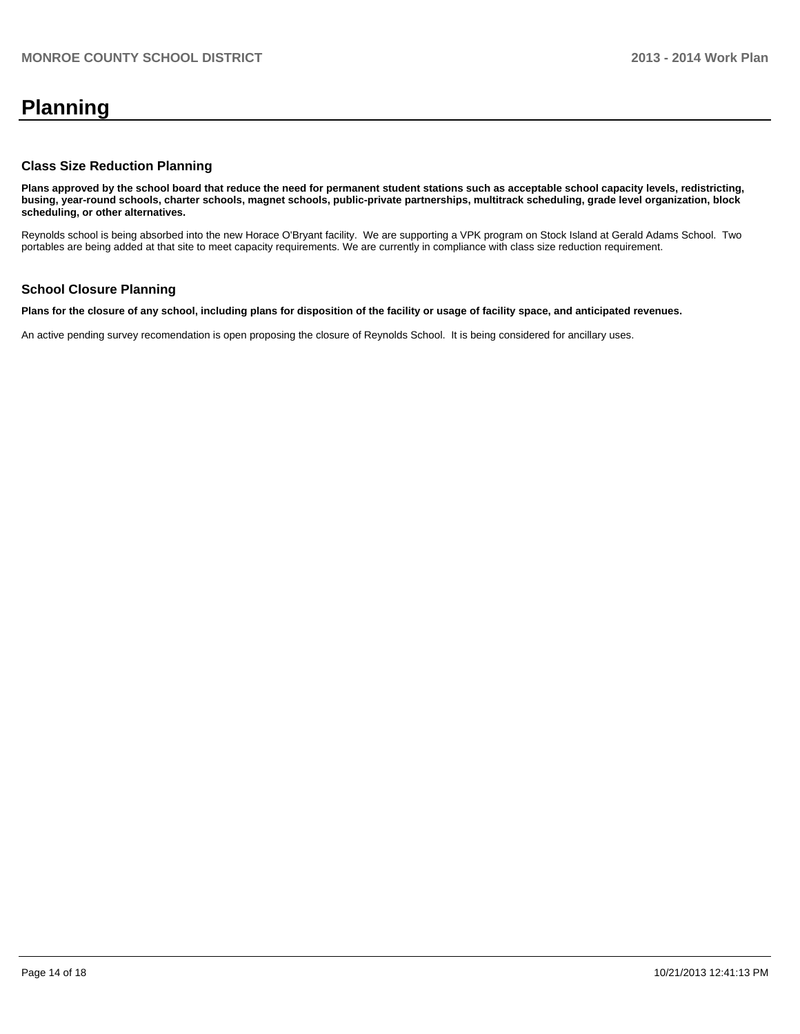## **Planning**

#### **Class Size Reduction Planning**

**Plans approved by the school board that reduce the need for permanent student stations such as acceptable school capacity levels, redistricting, busing, year-round schools, charter schools, magnet schools, public-private partnerships, multitrack scheduling, grade level organization, block scheduling, or other alternatives.**

Reynolds school is being absorbed into the new Horace O'Bryant facility. We are supporting a VPK program on Stock Island at Gerald Adams School. Two portables are being added at that site to meet capacity requirements. We are currently in compliance with class size reduction requirement.

#### **School Closure Planning**

**Plans for the closure of any school, including plans for disposition of the facility or usage of facility space, and anticipated revenues.**

An active pending survey recomendation is open proposing the closure of Reynolds School. It is being considered for ancillary uses.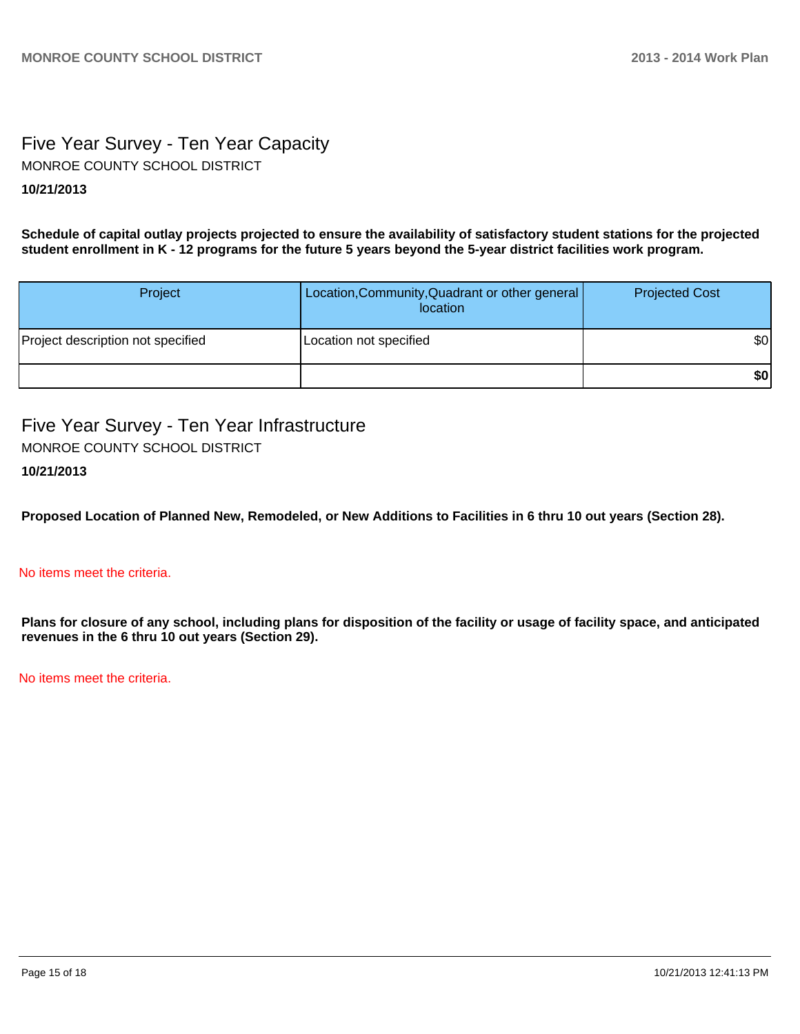### Five Year Survey - Ten Year Capacity **10/21/2013** MONROE COUNTY SCHOOL DISTRICT

**Schedule of capital outlay projects projected to ensure the availability of satisfactory student stations for the projected student enrollment in K - 12 programs for the future 5 years beyond the 5-year district facilities work program.**

| Project                           | Location, Community, Quadrant or other general<br>location | <b>Projected Cost</b> |
|-----------------------------------|------------------------------------------------------------|-----------------------|
| Project description not specified | Location not specified                                     | \$0                   |
|                                   |                                                            | \$0                   |

Five Year Survey - Ten Year Infrastructure MONROE COUNTY SCHOOL DISTRICT

#### **10/21/2013**

**Proposed Location of Planned New, Remodeled, or New Additions to Facilities in 6 thru 10 out years (Section 28).**

#### No items meet the criteria.

**Plans for closure of any school, including plans for disposition of the facility or usage of facility space, and anticipated revenues in the 6 thru 10 out years (Section 29).**

No items meet the criteria.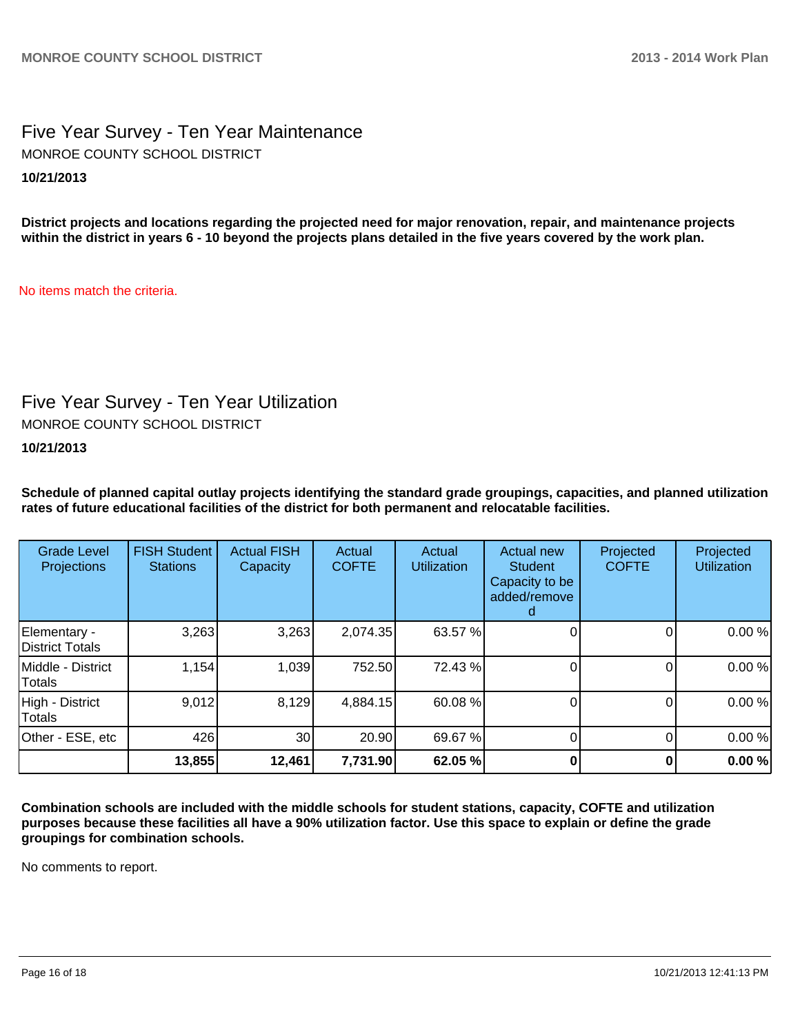Five Year Survey - Ten Year Maintenance **10/21/2013** MONROE COUNTY SCHOOL DISTRICT

**District projects and locations regarding the projected need for major renovation, repair, and maintenance projects within the district in years 6 - 10 beyond the projects plans detailed in the five years covered by the work plan.**

No items match the criteria.

## Five Year Survey - Ten Year Utilization

MONROE COUNTY SCHOOL DISTRICT

**10/21/2013**

**Schedule of planned capital outlay projects identifying the standard grade groupings, capacities, and planned utilization rates of future educational facilities of the district for both permanent and relocatable facilities.**

| <b>Grade Level</b><br>Projections | <b>FISH Student</b><br><b>Stations</b> | <b>Actual FISH</b><br>Capacity | Actual<br><b>COFTE</b> | Actual<br><b>Utilization</b> | Actual new<br><b>Student</b><br>Capacity to be<br>added/remove | Projected<br><b>COFTE</b> | Projected<br><b>Utilization</b> |
|-----------------------------------|----------------------------------------|--------------------------------|------------------------|------------------------------|----------------------------------------------------------------|---------------------------|---------------------------------|
| Elementary -<br>District Totals   | 3,263                                  | 3,263                          | 2,074.35               | 63.57 %                      |                                                                |                           | 0.00%                           |
| Middle - District<br>Totals       | 1,154                                  | 1,039                          | 752.50                 | 72.43 %                      |                                                                |                           | 0.00%                           |
| High - District<br>Totals         | 9,012                                  | 8,129                          | 4,884.15               | 60.08 %                      |                                                                |                           | 0.00%                           |
| Other - ESE, etc                  | 426                                    | 30                             | 20.90                  | 69.67 %                      |                                                                |                           | 0.00%                           |
|                                   | 13,855                                 | 12,461                         | 7,731.90               | 62.05 %                      |                                                                |                           | 0.00%                           |

**Combination schools are included with the middle schools for student stations, capacity, COFTE and utilization purposes because these facilities all have a 90% utilization factor. Use this space to explain or define the grade groupings for combination schools.**

No comments to report.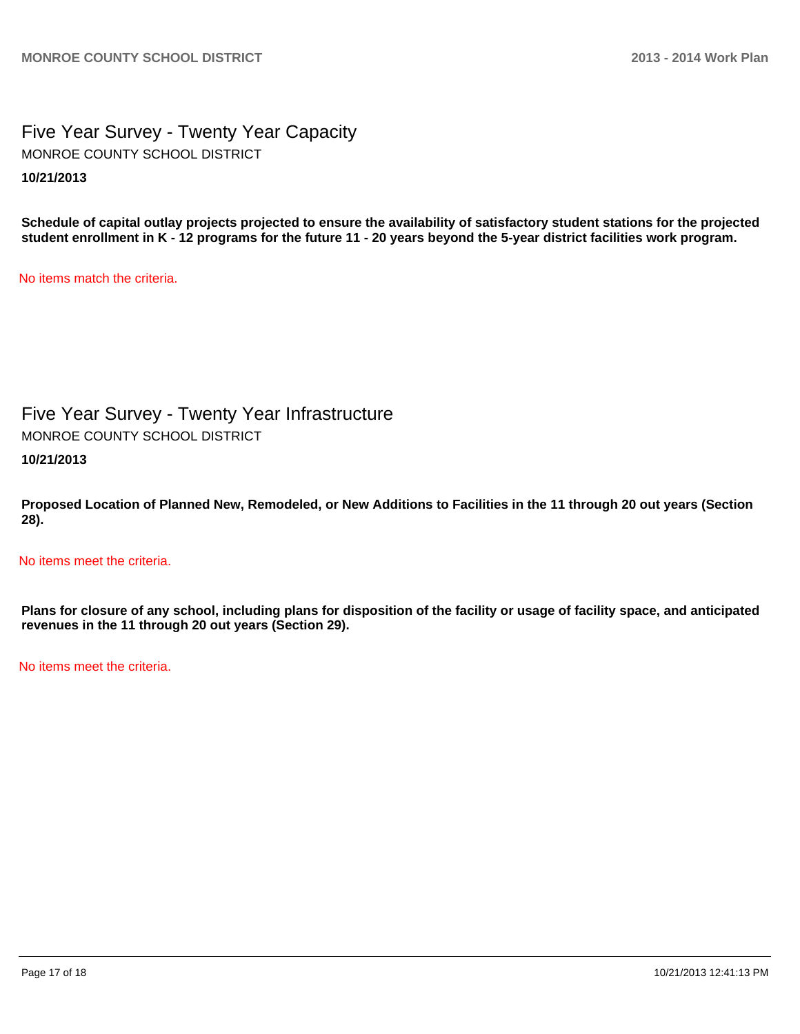Five Year Survey - Twenty Year Capacity **10/21/2013** MONROE COUNTY SCHOOL DISTRICT

**Schedule of capital outlay projects projected to ensure the availability of satisfactory student stations for the projected student enrollment in K - 12 programs for the future 11 - 20 years beyond the 5-year district facilities work program.**

No items match the criteria.

Five Year Survey - Twenty Year Infrastructure MONROE COUNTY SCHOOL DISTRICT

**10/21/2013**

**Proposed Location of Planned New, Remodeled, or New Additions to Facilities in the 11 through 20 out years (Section 28).**

No items meet the criteria.

**Plans for closure of any school, including plans for disposition of the facility or usage of facility space, and anticipated revenues in the 11 through 20 out years (Section 29).**

No items meet the criteria.